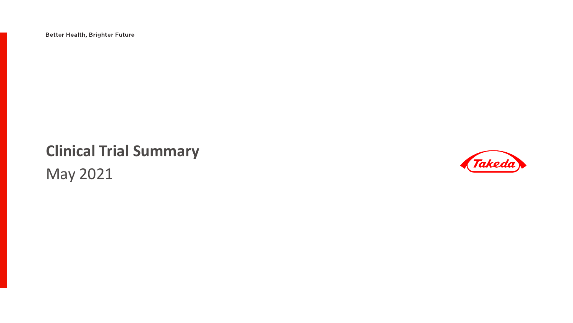**Better Health, Brighter Future** 

#### **Clinical Trial Summary**

May 2021

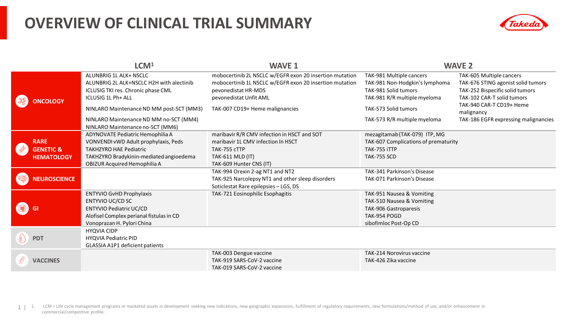#### **OVERVIEW OF CLINICAL TRIAL SUMMARY**



|                             | LCM <sup>1</sup>                                                                                                               | <b>WAVE 1</b>                                                                                                                                                       |                                                                                                                    | <b>WAVE 2</b>                                                                                                                   |
|-----------------------------|--------------------------------------------------------------------------------------------------------------------------------|---------------------------------------------------------------------------------------------------------------------------------------------------------------------|--------------------------------------------------------------------------------------------------------------------|---------------------------------------------------------------------------------------------------------------------------------|
| <b>ICOLOGY</b>              | ALUNBRIG 1L ALK+ NSCLC<br>ALUNBRIG 2L ALK+NSCLC H2H with alectinib<br>ICLUSIG TKI res. Chronic phase CML<br>ICLUSIG 1L Ph+ ALL | mobocertinib 2L NSCLC w/EGFR exon 20 insertion mutation<br>mobocertinib 1L NSCLC w/EGFR exon 20 insertion mutation<br>pevonedistat HR-MDS<br>pevonedistat Unfit AML | TAK-981 Multiple cancers<br>TAK-981 Non-Hodgkin's lymphoma<br>TAK-981 Solid tumors<br>TAK-981 R/R multiple myeloma | TAK-605 Multiple cancers<br>TAK-676 STING agonist solid tumors<br>TAK-252 Bispecific solid tumors<br>TAK-102 CAR-T solid tumors |
|                             | NINLARO Maintenance ND MM post-SCT (MM3)                                                                                       | TAK-007 CD19+ Heme malignancies                                                                                                                                     | TAK-573 Solid tumors                                                                                               | TAK-940 CAR-T CD19+ Heme<br>malignancy                                                                                          |
|                             | NINLARO Maintenance ND MM no-SCT (MM4)<br>NINLARO Maintenance no-SCT (MM6)                                                     |                                                                                                                                                                     | TAK-573 R/R multiple myeloma                                                                                       | TAK-186 EGFR expressing malignancies                                                                                            |
|                             | ADYNOVATE Pediatric Hemophilia A                                                                                               | maribavir R/R CMV infection in HSCT and SOT                                                                                                                         | mezagitamab (TAK-079) ITP, MG                                                                                      |                                                                                                                                 |
| <b>RARE</b>                 | VONVENDI vWD Adult prophylaxis, Peds                                                                                           | maribavir 1L CMV infection In HSCT                                                                                                                                  | TAK-607 Complications of prematurity                                                                               |                                                                                                                                 |
| POL<br><b>GENETIC &amp;</b> | <b>TAKHZYRO HAE Pediatric</b>                                                                                                  | TAK-755 cTTP                                                                                                                                                        | TAK-755 iTTP                                                                                                       |                                                                                                                                 |
| <b>HEMATOLOGY</b>           | TAKHZYRO Bradykinin-mediated angioedema                                                                                        | <b>TAK-611 MLD (IT)</b>                                                                                                                                             | <b>TAK-755 SCD</b>                                                                                                 |                                                                                                                                 |
|                             | OBIZUR Acquired Hemophilia A                                                                                                   | TAK-609 Hunter CNS (IT)                                                                                                                                             |                                                                                                                    |                                                                                                                                 |
|                             |                                                                                                                                | TAK-994 Orexin 2-ag NT1 and NT2                                                                                                                                     | TAK-341 Parkinson's Disease                                                                                        |                                                                                                                                 |
| <b>NEUROSCIENCE</b>         |                                                                                                                                | TAK-925 Narcolepsy NT1 and other sleep disorders<br>Soticlestat Rare epilepsies - LGS, DS                                                                           | TAK-071 Parkinson's Disease                                                                                        |                                                                                                                                 |
|                             | <b>ENTYVIO GvHD Prophylaxis</b>                                                                                                | TAK-721 Eosinophilic Esophagitis                                                                                                                                    | TAK-951 Nausea & Vomiting                                                                                          |                                                                                                                                 |
|                             | ENTYVIO UC/CD SC                                                                                                               |                                                                                                                                                                     | TAK-510 Nausea & Vomiting                                                                                          |                                                                                                                                 |
|                             | <b>ENTYVIO Pediatric UC/CD</b>                                                                                                 |                                                                                                                                                                     | TAK-906 Gastroparesis                                                                                              |                                                                                                                                 |
|                             | Alofisel Complex perianal fistulas in CD                                                                                       |                                                                                                                                                                     | TAK-954 POGD                                                                                                       |                                                                                                                                 |
|                             | Vonoprazan H. Pylori China                                                                                                     |                                                                                                                                                                     | sibofimloc Post-Op CD                                                                                              |                                                                                                                                 |
|                             | <b>HYQVIA CIDP</b>                                                                                                             |                                                                                                                                                                     |                                                                                                                    |                                                                                                                                 |
| <b>PDT</b>                  | <b>HYQVIA Pediatric PID</b>                                                                                                    |                                                                                                                                                                     |                                                                                                                    |                                                                                                                                 |
|                             | GLASSIA A1P1 deficient patients                                                                                                |                                                                                                                                                                     |                                                                                                                    |                                                                                                                                 |
|                             |                                                                                                                                | TAK-003 Dengue vaccine                                                                                                                                              | TAK-214 Norovirus vaccine                                                                                          |                                                                                                                                 |
| <b>VACCINES</b>             |                                                                                                                                | TAK-919 SARS-CoV-2 vaccine                                                                                                                                          | TAK-426 Zika vaccine                                                                                               |                                                                                                                                 |
|                             |                                                                                                                                | TAK-019 SARS-CoV-2 vaccine                                                                                                                                          |                                                                                                                    |                                                                                                                                 |

1 | 1. LCM = Life cycle management programs or marketed assets in development seeking new indications, new geographic expansions, fulfillment of regulatory requirements, new formulations/method of use, and/or enhancement i commercial/competitive profile.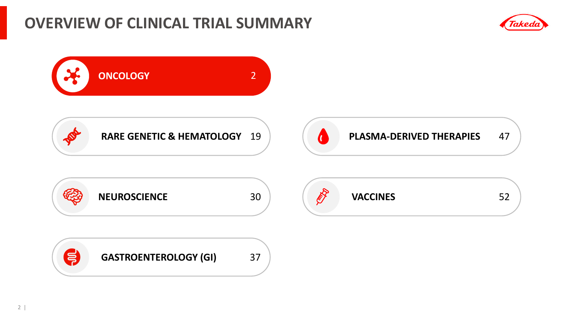#### **OVERVIEW OF CLINICAL TRIAL SUMMARY**



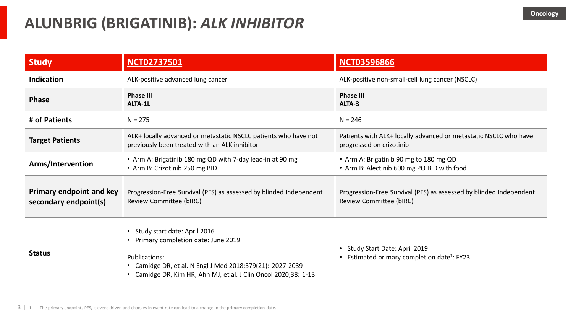| <b>Study</b>                                             | <b>NCT02737501</b>                                                                                                                                                                                                      | <b>NCT03596866</b>                                                                            |
|----------------------------------------------------------|-------------------------------------------------------------------------------------------------------------------------------------------------------------------------------------------------------------------------|-----------------------------------------------------------------------------------------------|
| <b>Indication</b>                                        | ALK-positive advanced lung cancer                                                                                                                                                                                       | ALK-positive non-small-cell lung cancer (NSCLC)                                               |
| <b>Phase</b>                                             | <b>Phase III</b><br>ALTA-1L                                                                                                                                                                                             | <b>Phase III</b><br>ALTA-3                                                                    |
| # of Patients                                            | $N = 275$                                                                                                                                                                                                               | $N = 246$                                                                                     |
| <b>Target Patients</b>                                   | ALK+ locally advanced or metastatic NSCLC patients who have not<br>previously been treated with an ALK inhibitor                                                                                                        | Patients with ALK+ locally advanced or metastatic NSCLC who have<br>progressed on crizotinib  |
| Arms/Intervention                                        | • Arm A: Brigatinib 180 mg QD with 7-day lead-in at 90 mg<br>• Arm B: Crizotinib 250 mg BID                                                                                                                             | • Arm A: Brigatinib 90 mg to 180 mg QD<br>• Arm B: Alectinib 600 mg PO BID with food          |
| <b>Primary endpoint and key</b><br>secondary endpoint(s) | Progression-Free Survival (PFS) as assessed by blinded Independent<br>Review Committee (bIRC)                                                                                                                           | Progression-Free Survival (PFS) as assessed by blinded Independent<br>Review Committee (bIRC) |
| <b>Status</b>                                            | • Study start date: April 2016<br>• Primary completion date: June 2019<br>Publications:<br>• Camidge DR, et al. N Engl J Med 2018;379(21): 2027-2039<br>• Camidge DR, Kim HR, Ahn MJ, et al. J Clin Oncol 2020;38: 1-13 | Study Start Date: April 2019<br>Estimated primary completion date <sup>1</sup> : FY23         |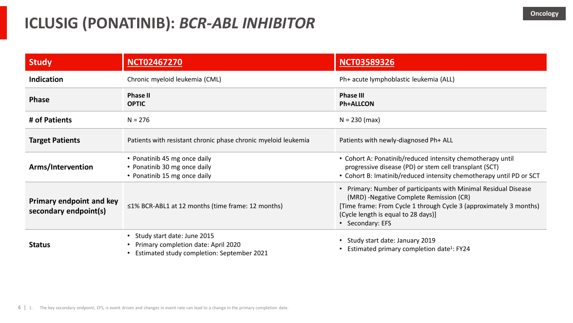| <b>Study</b>                                             | <b>NCT02467270</b>                                                                                               | <b>NCT03589326</b>                                                                                                                                                                                                                           |
|----------------------------------------------------------|------------------------------------------------------------------------------------------------------------------|----------------------------------------------------------------------------------------------------------------------------------------------------------------------------------------------------------------------------------------------|
| <b>Indication</b>                                        | Chronic myeloid leukemia (CML)                                                                                   | Ph+ acute lymphoblastic leukemia (ALL)                                                                                                                                                                                                       |
| <b>Phase</b>                                             | <b>Phase II</b><br><b>OPTIC</b>                                                                                  | <b>Phase III</b><br><b>Ph+ALLCON</b>                                                                                                                                                                                                         |
| # of Patients                                            | $N = 276$                                                                                                        | $N = 230$ (max)                                                                                                                                                                                                                              |
| <b>Target Patients</b>                                   | Patients with resistant chronic phase chronic myeloid leukemia                                                   | Patients with newly-diagnosed Ph+ ALL                                                                                                                                                                                                        |
| Arms/Intervention                                        | • Ponatinib 45 mg once daily<br>• Ponatinib 30 mg once daily<br>• Ponatinib 15 mg once daily                     | • Cohort A: Ponatinib/reduced intensity chemotherapy until<br>progressive disease (PD) or stem cell transplant (SCT)<br>• Cohort B: Imatinib/reduced intensity chemotherapy until PD or SCT                                                  |
| <b>Primary endpoint and key</b><br>secondary endpoint(s) | ≤1% BCR-ABL1 at 12 months (time frame: 12 months)                                                                | • Primary: Number of participants with Minimal Residual Disease<br>(MRD) - Negative Complete Remission (CR)<br>[Time frame: From Cycle 1 through Cycle 3 (approximately 3 months)<br>(Cycle length is equal to 28 days)]<br>• Secondary: EFS |
| <b>Status</b>                                            | Study start date: June 2015<br>Primary completion date: April 2020<br>Estimated study completion: September 2021 | Study start date: January 2019<br>Estimated primary completion date <sup>1</sup> : FY24                                                                                                                                                      |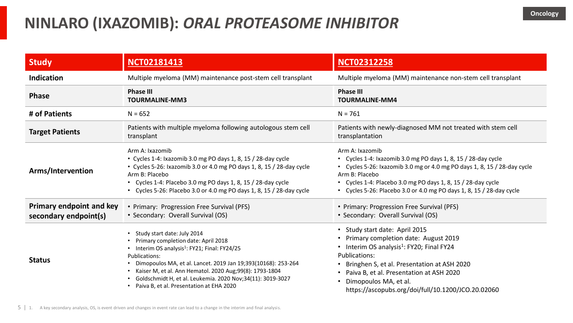### **NINLARO (IXAZOMIB):** *ORAL PROTEASOME INHIBITOR*

| <b>Study</b>                                             | <b>NCT02181413</b>                                                                                                                                                                                                                                                                                                                                                                               | <b>NCT02312258</b>                                                                                                                                                                                                                                                                                                             |
|----------------------------------------------------------|--------------------------------------------------------------------------------------------------------------------------------------------------------------------------------------------------------------------------------------------------------------------------------------------------------------------------------------------------------------------------------------------------|--------------------------------------------------------------------------------------------------------------------------------------------------------------------------------------------------------------------------------------------------------------------------------------------------------------------------------|
| <b>Indication</b>                                        | Multiple myeloma (MM) maintenance post-stem cell transplant                                                                                                                                                                                                                                                                                                                                      | Multiple myeloma (MM) maintenance non-stem cell transplant                                                                                                                                                                                                                                                                     |
| <b>Phase</b>                                             | <b>Phase III</b><br><b>TOURMALINE-MM3</b>                                                                                                                                                                                                                                                                                                                                                        | <b>Phase III</b><br><b>TOURMALINE-MM4</b>                                                                                                                                                                                                                                                                                      |
| # of Patients                                            | $N = 652$                                                                                                                                                                                                                                                                                                                                                                                        | $N = 761$                                                                                                                                                                                                                                                                                                                      |
| <b>Target Patients</b>                                   | Patients with multiple myeloma following autologous stem cell<br>transplant                                                                                                                                                                                                                                                                                                                      | Patients with newly-diagnosed MM not treated with stem cell<br>transplantation                                                                                                                                                                                                                                                 |
| Arms/Intervention                                        | Arm A: Ixazomib<br>• Cycles 1-4: Ixazomib 3.0 mg PO days 1, 8, 15 / 28-day cycle<br>• Cycles 5-26: Ixazomib 3.0 or 4.0 mg PO days 1, 8, 15 / 28-day cycle<br>Arm B: Placebo<br>• Cycles 1-4: Placebo 3.0 mg PO days 1, 8, 15 / 28-day cycle<br>• Cycles 5-26: Placebo 3.0 or 4.0 mg PO days 1, 8, 15 / 28-day cycle                                                                              | Arm A: Ixazomib<br>• Cycles 1-4: Ixazomib 3.0 mg PO days 1, 8, 15 / 28-day cycle<br>• Cycles 5-26: Ixazomib 3.0 mg or 4.0 mg PO days 1, 8, 15 / 28-day cycle<br>Arm B: Placebo<br>• Cycles 1-4: Placebo 3.0 mg PO days 1, 8, 15 / 28-day cycle<br>• Cycles 5-26: Placebo 3.0 or 4.0 mg PO days 1, 8, 15 / 28-day cycle         |
| <b>Primary endpoint and key</b><br>secondary endpoint(s) | • Primary: Progression Free Survival (PFS)<br>• Secondary: Overall Survival (OS)                                                                                                                                                                                                                                                                                                                 | • Primary: Progression Free Survival (PFS)<br>• Secondary: Overall Survival (OS)                                                                                                                                                                                                                                               |
| <b>Status</b>                                            | • Study start date: July 2014<br>• Primary completion date: April 2018<br>• Interim OS analysis <sup>1</sup> : FY21; Final: FY24/25<br>Publications:<br>• Dimopoulos MA, et al. Lancet. 2019 Jan 19;393(10168): 253-264<br>• Kaiser M, et al. Ann Hematol. 2020 Aug;99(8): 1793-1804<br>Goldschmidt H, et al. Leukemia. 2020 Nov;34(11): 3019-3027<br>• Paiva B, et al. Presentation at EHA 2020 | • Study start date: April 2015<br>• Primary completion date: August 2019<br>• Interim OS analysis <sup>1</sup> : FY20; Final FY24<br>Publications:<br>• Bringhen S, et al. Presentation at ASH 2020<br>Paiva B, et al. Presentation at ASH 2020<br>Dimopoulos MA, et al.<br>https://ascopubs.org/doi/full/10.1200/JCO.20.02060 |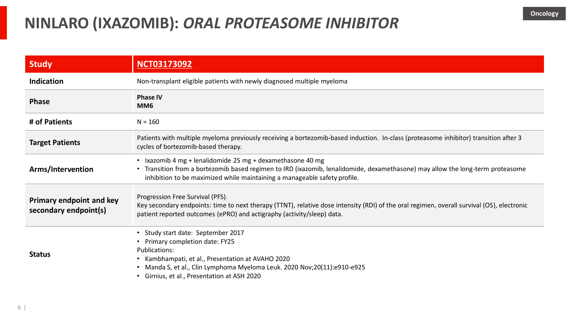### **NINLARO (IXAZOMIB):** *ORAL PROTEASOME INHIBITOR*

| <b>Study</b>                                             | <b>NCT03173092</b>                                                                                                                                                                                                                                                                   |
|----------------------------------------------------------|--------------------------------------------------------------------------------------------------------------------------------------------------------------------------------------------------------------------------------------------------------------------------------------|
| <b>Indication</b>                                        | Non-transplant eligible patients with newly diagnosed multiple myeloma                                                                                                                                                                                                               |
| <b>Phase</b>                                             | <b>Phase IV</b><br>MM <sub>6</sub>                                                                                                                                                                                                                                                   |
| # of Patients                                            | $N = 160$                                                                                                                                                                                                                                                                            |
| <b>Target Patients</b>                                   | Patients with multiple myeloma previously receiving a bortezomib-based induction. In-class (proteasome inhibitor) transition after 3<br>cycles of bortezomib-based therapy.                                                                                                          |
| Arms/Intervention                                        | • Ixazomib 4 mg + lenalidomide 25 mg + dexamethasone 40 mg<br>Transition from a bortezomib based regimen to IRD (ixazomib, lenalidomide, dexamethasone) may allow the long-term proteasome<br>$\bullet$<br>inhibition to be maximized while maintaining a manageable safety profile. |
| <b>Primary endpoint and key</b><br>secondary endpoint(s) | Progression Free Survival (PFS).<br>Key secondary endpoints: time to next therapy (TTNT), relative dose intensity (RDI) of the oral regimen, overall survival (OS), electronic<br>patient reported outcomes (ePRO) and actigraphy (activity/sleep) data.                             |
| <b>Status</b>                                            | Study start date: September 2017<br>Primary completion date: FY25<br>Publications:<br>• Kambhampati, et al., Presentation at AVAHO 2020<br>Manda S, et al., Clin Lymphoma Myeloma Leuk. 2020 Nov;20(11):e910-e925<br>• Girnius, et al., Presentation at ASH 2020                     |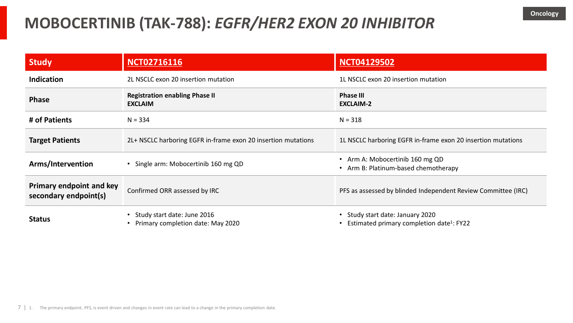### **MOBOCERTINIB (TAK-788):** *EGFR/HER2 EXON 20 INHIBITOR*

| Study                                                    | <b>NCT02716116</b>                                                            | <b>NCT04129502</b>                                                                      |
|----------------------------------------------------------|-------------------------------------------------------------------------------|-----------------------------------------------------------------------------------------|
| <b>Indication</b>                                        | 2L NSCLC exon 20 insertion mutation                                           | 1L NSCLC exon 20 insertion mutation                                                     |
| <b>Phase</b>                                             | <b>Registration enabling Phase II</b><br><b>EXCLAIM</b>                       | <b>Phase III</b><br><b>EXCLAIM-2</b>                                                    |
| # of Patients                                            | $N = 334$                                                                     | $N = 318$                                                                               |
| <b>Target Patients</b>                                   | 2L+ NSCLC harboring EGFR in-frame exon 20 insertion mutations                 | 1L NSCLC harboring EGFR in-frame exon 20 insertion mutations                            |
| Arms/Intervention                                        | • Single arm: Mobocertinib 160 mg QD                                          | Arm A: Mobocertinib 160 mg QD<br>Arm B: Platinum-based chemotherapy                     |
| <b>Primary endpoint and key</b><br>secondary endpoint(s) | Confirmed ORR assessed by IRC                                                 | PFS as assessed by blinded Independent Review Committee (IRC)                           |
| <b>Status</b>                                            | Study start date: June 2016<br>$\bullet$<br>Primary completion date: May 2020 | Study start date: January 2020<br>Estimated primary completion date <sup>1</sup> : FY22 |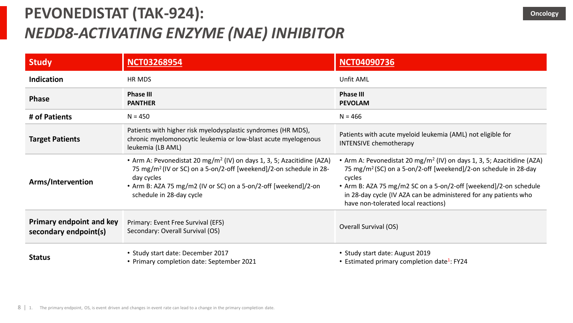# **PEVONEDISTAT (TAK-924):**  *NEDD8-ACTIVATING ENZYME (NAE) INHIBITOR*

| <b>Study</b>                                             | <b>NCT03268954</b>                                                                                                                                                                                                                                                                | <b>NCT04090736</b>                                                                                                                                                                                                                                                                                                                                         |
|----------------------------------------------------------|-----------------------------------------------------------------------------------------------------------------------------------------------------------------------------------------------------------------------------------------------------------------------------------|------------------------------------------------------------------------------------------------------------------------------------------------------------------------------------------------------------------------------------------------------------------------------------------------------------------------------------------------------------|
| <b>Indication</b>                                        | <b>HR MDS</b>                                                                                                                                                                                                                                                                     | Unfit AML                                                                                                                                                                                                                                                                                                                                                  |
| <b>Phase</b>                                             | <b>Phase III</b><br><b>PANTHER</b>                                                                                                                                                                                                                                                | <b>Phase III</b><br><b>PEVOLAM</b>                                                                                                                                                                                                                                                                                                                         |
| # of Patients                                            | $N = 450$                                                                                                                                                                                                                                                                         | $N = 466$                                                                                                                                                                                                                                                                                                                                                  |
| <b>Target Patients</b>                                   | Patients with higher risk myelodysplastic syndromes (HR MDS),<br>chronic myelomonocytic leukemia or low-blast acute myelogenous<br>leukemia (LB AML)                                                                                                                              | Patients with acute myeloid leukemia (AML) not eligible for<br><b>INTENSIVE chemotherapy</b>                                                                                                                                                                                                                                                               |
| Arms/Intervention                                        | • Arm A: Pevonedistat 20 mg/m <sup>2</sup> (IV) on days 1, 3, 5; Azacitidine (AZA)<br>75 mg/m <sup>2</sup> (IV or SC) on a 5-on/2-off [weekend]/2-on schedule in 28-<br>day cycles<br>• Arm B: AZA 75 mg/m2 (IV or SC) on a 5-on/2-off [weekend]/2-on<br>schedule in 28-day cycle | • Arm A: Pevonedistat 20 mg/m <sup>2</sup> (IV) on days 1, 3, 5; Azacitidine (AZA)<br>75 mg/m <sup>2</sup> (SC) on a 5-on/2-off [weekend]/2-on schedule in 28-day<br>cycles<br>• Arm B: AZA 75 mg/m2 SC on a 5-on/2-off [weekend]/2-on schedule<br>in 28-day cycle (IV AZA can be administered for any patients who<br>have non-tolerated local reactions) |
| <b>Primary endpoint and key</b><br>secondary endpoint(s) | Primary: Event Free Survival (EFS)<br>Secondary: Overall Survival (OS)                                                                                                                                                                                                            | Overall Survival (OS)                                                                                                                                                                                                                                                                                                                                      |
| <b>Status</b>                                            | • Study start date: December 2017<br>• Primary completion date: September 2021                                                                                                                                                                                                    | • Study start date: August 2019<br>• Estimated primary completion date <sup>1</sup> : FY24                                                                                                                                                                                                                                                                 |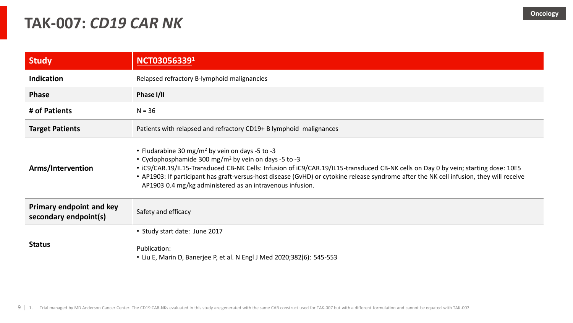#### **TAK-007:** *CD19 CAR NK*

| <b>Study</b>                                             | NCT030563391                                                                                                                                                                                                                                                                                                                                                                                                                                                                    |
|----------------------------------------------------------|---------------------------------------------------------------------------------------------------------------------------------------------------------------------------------------------------------------------------------------------------------------------------------------------------------------------------------------------------------------------------------------------------------------------------------------------------------------------------------|
| <b>Indication</b>                                        | Relapsed refractory B-lymphoid malignancies                                                                                                                                                                                                                                                                                                                                                                                                                                     |
| <b>Phase</b>                                             | Phase I/II                                                                                                                                                                                                                                                                                                                                                                                                                                                                      |
| # of Patients                                            | $N = 36$                                                                                                                                                                                                                                                                                                                                                                                                                                                                        |
| <b>Target Patients</b>                                   | Patients with relapsed and refractory CD19+ B lymphoid malignances                                                                                                                                                                                                                                                                                                                                                                                                              |
| Arms/Intervention                                        | • Fludarabine 30 mg/m <sup>2</sup> by vein on days -5 to -3<br>• Cyclophosphamide 300 mg/m <sup>2</sup> by vein on days -5 to -3<br>• iC9/CAR.19/IL15-Transduced CB-NK Cells: Infusion of iC9/CAR.19/IL15-transduced CB-NK cells on Day 0 by vein; starting dose: 10E5<br>• AP1903: If participant has graft-versus-host disease (GvHD) or cytokine release syndrome after the NK cell infusion, they will receive<br>AP1903 0.4 mg/kg administered as an intravenous infusion. |
| <b>Primary endpoint and key</b><br>secondary endpoint(s) | Safety and efficacy                                                                                                                                                                                                                                                                                                                                                                                                                                                             |
| <b>Status</b>                                            | • Study start date: June 2017<br>Publication:<br>• Liu E, Marin D, Banerjee P, et al. N Engl J Med 2020;382(6): 545-553                                                                                                                                                                                                                                                                                                                                                         |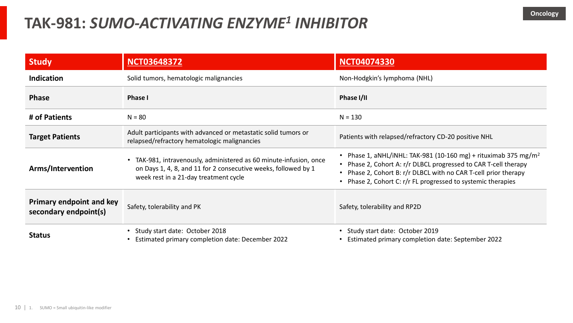### **TAK-981:** *SUMO-ACTIVATING ENZYME<sup>1</sup> INHIBITOR*

| <b>Study</b>                                             | <b>NCT03648372</b>                                                                                                                                                          | <b>NCT04074330</b>                                                                                                                                                                                                                                                        |
|----------------------------------------------------------|-----------------------------------------------------------------------------------------------------------------------------------------------------------------------------|---------------------------------------------------------------------------------------------------------------------------------------------------------------------------------------------------------------------------------------------------------------------------|
| <b>Indication</b>                                        | Solid tumors, hematologic malignancies                                                                                                                                      | Non-Hodgkin's lymphoma (NHL)                                                                                                                                                                                                                                              |
| <b>Phase</b>                                             | <b>Phase I</b>                                                                                                                                                              | Phase I/II                                                                                                                                                                                                                                                                |
| # of Patients                                            | $N = 80$                                                                                                                                                                    | $N = 130$                                                                                                                                                                                                                                                                 |
| <b>Target Patients</b>                                   | Adult participants with advanced or metastatic solid tumors or<br>relapsed/refractory hematologic malignancies                                                              | Patients with relapsed/refractory CD-20 positive NHL                                                                                                                                                                                                                      |
| Arms/Intervention                                        | TAK-981, intravenously, administered as 60 minute-infusion, once<br>on Days 1, 4, 8, and 11 for 2 consecutive weeks, followed by 1<br>week rest in a 21-day treatment cycle | Phase 1, aNHL/iNHL: TAK-981 (10-160 mg) + rituximab 375 mg/m <sup>2</sup><br>Phase 2, Cohort A: r/r DLBCL progressed to CAR T-cell therapy<br>Phase 2, Cohort B: r/r DLBCL with no CAR T-cell prior therapy<br>Phase 2, Cohort C: r/r FL progressed to systemic therapies |
| <b>Primary endpoint and key</b><br>secondary endpoint(s) | Safety, tolerability and PK                                                                                                                                                 | Safety, tolerability and RP2D                                                                                                                                                                                                                                             |
| <b>Status</b>                                            | • Study start date: October 2018<br>Estimated primary completion date: December 2022                                                                                        | Study start date: October 2019<br>Estimated primary completion date: September 2022                                                                                                                                                                                       |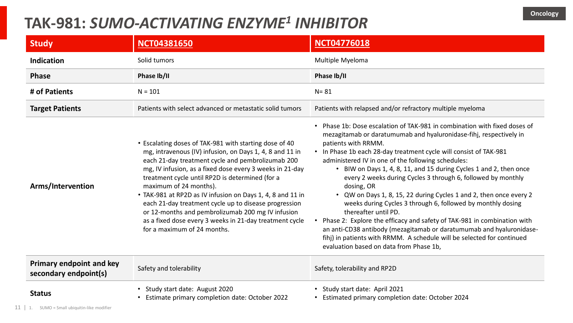### **TAK-981:** *SUMO-ACTIVATING ENZYME<sup>1</sup> INHIBITOR*

| <b>Study</b>                                             | <b>NCT04381650</b>                                                                                                                                                                                                                                                                                                                                                                                                                                                                                                                                                                     | <b>NCT04776018</b>                                                                                                                                                                                                                                                                                                                                                                                                                                                                                                                                                                                                                                                                                                                                                                                                                                                                       |
|----------------------------------------------------------|----------------------------------------------------------------------------------------------------------------------------------------------------------------------------------------------------------------------------------------------------------------------------------------------------------------------------------------------------------------------------------------------------------------------------------------------------------------------------------------------------------------------------------------------------------------------------------------|------------------------------------------------------------------------------------------------------------------------------------------------------------------------------------------------------------------------------------------------------------------------------------------------------------------------------------------------------------------------------------------------------------------------------------------------------------------------------------------------------------------------------------------------------------------------------------------------------------------------------------------------------------------------------------------------------------------------------------------------------------------------------------------------------------------------------------------------------------------------------------------|
| Indication                                               | Solid tumors                                                                                                                                                                                                                                                                                                                                                                                                                                                                                                                                                                           | Multiple Myeloma                                                                                                                                                                                                                                                                                                                                                                                                                                                                                                                                                                                                                                                                                                                                                                                                                                                                         |
| <b>Phase</b>                                             | Phase Ib/II                                                                                                                                                                                                                                                                                                                                                                                                                                                                                                                                                                            | Phase Ib/II                                                                                                                                                                                                                                                                                                                                                                                                                                                                                                                                                                                                                                                                                                                                                                                                                                                                              |
| # of Patients                                            | $N = 101$                                                                                                                                                                                                                                                                                                                                                                                                                                                                                                                                                                              | $N = 81$                                                                                                                                                                                                                                                                                                                                                                                                                                                                                                                                                                                                                                                                                                                                                                                                                                                                                 |
| <b>Target Patients</b>                                   | Patients with select advanced or metastatic solid tumors                                                                                                                                                                                                                                                                                                                                                                                                                                                                                                                               | Patients with relapsed and/or refractory multiple myeloma                                                                                                                                                                                                                                                                                                                                                                                                                                                                                                                                                                                                                                                                                                                                                                                                                                |
| Arms/Intervention                                        | • Escalating doses of TAK-981 with starting dose of 40<br>mg, intravenous (IV) infusion, on Days 1, 4, 8 and 11 in<br>each 21-day treatment cycle and pembrolizumab 200<br>mg, IV infusion, as a fixed dose every 3 weeks in 21-day<br>treatment cycle until RP2D is determined (for a<br>maximum of 24 months).<br>• TAK-981 at RP2D as IV infusion on Days 1, 4, 8 and 11 in<br>each 21-day treatment cycle up to disease progression<br>or 12-months and pembrolizumab 200 mg IV infusion<br>as a fixed dose every 3 weeks in 21-day treatment cycle<br>for a maximum of 24 months. | Phase 1b: Dose escalation of TAK-981 in combination with fixed doses of<br>mezagitamab or daratumumab and hyaluronidase-fihj, respectively in<br>patients with RRMM.<br>• In Phase 1b each 28-day treatment cycle will consist of TAK-981<br>administered IV in one of the following schedules:<br>• BIW on Days 1, 4, 8, 11, and 15 during Cycles 1 and 2, then once<br>every 2 weeks during Cycles 3 through 6, followed by monthly<br>dosing, OR<br>• QW on Days 1, 8, 15, 22 during Cycles 1 and 2, then once every 2<br>weeks during Cycles 3 through 6, followed by monthly dosing<br>thereafter until PD.<br>Phase 2: Explore the efficacy and safety of TAK-981 in combination with<br>an anti-CD38 antibody (mezagitamab or daratumumab and hyaluronidase-<br>fihj) in patients with RRMM. A schedule will be selected for continued<br>evaluation based on data from Phase 1b, |
| <b>Primary endpoint and key</b><br>secondary endpoint(s) | Safety and tolerability                                                                                                                                                                                                                                                                                                                                                                                                                                                                                                                                                                | Safety, tolerability and RP2D                                                                                                                                                                                                                                                                                                                                                                                                                                                                                                                                                                                                                                                                                                                                                                                                                                                            |
| <b>Status</b>                                            | Study start date: August 2020<br>$\bullet$<br>Estimate primary completion date: October 2022                                                                                                                                                                                                                                                                                                                                                                                                                                                                                           | Study start date: April 2021<br>Estimated primary completion date: October 2024                                                                                                                                                                                                                                                                                                                                                                                                                                                                                                                                                                                                                                                                                                                                                                                                          |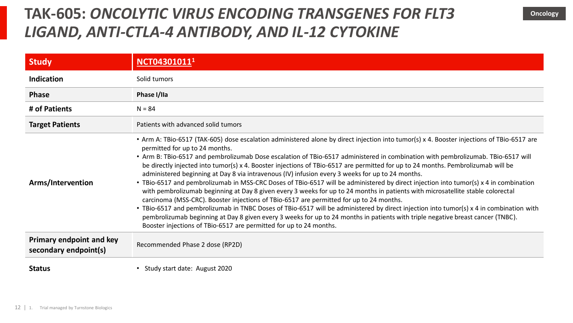#### **TAK-605:** *ONCOLYTIC VIRUS ENCODING TRANSGENES FOR FLT3 LIGAND, ANTI-CTLA-4 ANTIBODY, AND IL-12 CYTOKINE*

| <b>Study</b>                                             | NCT04301011 <sup>1</sup>                                                                                                                                                                                                                                                                                                                                                                                                                                                                                                                                                                                                                                                                                                                                                                                                                                                                                                                                                                                                                                                                                                                                                                                                                                                            |
|----------------------------------------------------------|-------------------------------------------------------------------------------------------------------------------------------------------------------------------------------------------------------------------------------------------------------------------------------------------------------------------------------------------------------------------------------------------------------------------------------------------------------------------------------------------------------------------------------------------------------------------------------------------------------------------------------------------------------------------------------------------------------------------------------------------------------------------------------------------------------------------------------------------------------------------------------------------------------------------------------------------------------------------------------------------------------------------------------------------------------------------------------------------------------------------------------------------------------------------------------------------------------------------------------------------------------------------------------------|
| <b>Indication</b>                                        | Solid tumors                                                                                                                                                                                                                                                                                                                                                                                                                                                                                                                                                                                                                                                                                                                                                                                                                                                                                                                                                                                                                                                                                                                                                                                                                                                                        |
| <b>Phase</b>                                             | Phase I/IIa                                                                                                                                                                                                                                                                                                                                                                                                                                                                                                                                                                                                                                                                                                                                                                                                                                                                                                                                                                                                                                                                                                                                                                                                                                                                         |
| # of Patients                                            | $N = 84$                                                                                                                                                                                                                                                                                                                                                                                                                                                                                                                                                                                                                                                                                                                                                                                                                                                                                                                                                                                                                                                                                                                                                                                                                                                                            |
| <b>Target Patients</b>                                   | Patients with advanced solid tumors                                                                                                                                                                                                                                                                                                                                                                                                                                                                                                                                                                                                                                                                                                                                                                                                                                                                                                                                                                                                                                                                                                                                                                                                                                                 |
| Arms/Intervention                                        | • Arm A: TBio-6517 (TAK-605) dose escalation administered alone by direct injection into tumor(s) x 4. Booster injections of TBio-6517 are<br>permitted for up to 24 months.<br>• Arm B: TBio-6517 and pembrolizumab Dose escalation of TBio-6517 administered in combination with pembrolizumab. TBio-6517 will<br>be directly injected into tumor(s) x 4. Booster injections of TBio-6517 are permitted for up to 24 months. Pembrolizumab will be<br>administered beginning at Day 8 via intravenous (IV) infusion every 3 weeks for up to 24 months.<br>• TBio-6517 and pembrolizumab in MSS-CRC Doses of TBio-6517 will be administered by direct injection into tumor(s) x 4 in combination<br>with pembrolizumab beginning at Day 8 given every 3 weeks for up to 24 months in patients with microsatellite stable colorectal<br>carcinoma (MSS-CRC). Booster injections of TBio-6517 are permitted for up to 24 months.<br>• TBio-6517 and pembrolizumab in TNBC Doses of TBio-6517 will be administered by direct injection into tumor(s) x 4 in combination with<br>pembrolizumab beginning at Day 8 given every 3 weeks for up to 24 months in patients with triple negative breast cancer (TNBC).<br>Booster injections of TBio-6517 are permitted for up to 24 months. |
| <b>Primary endpoint and key</b><br>secondary endpoint(s) | Recommended Phase 2 dose (RP2D)                                                                                                                                                                                                                                                                                                                                                                                                                                                                                                                                                                                                                                                                                                                                                                                                                                                                                                                                                                                                                                                                                                                                                                                                                                                     |
| <b>Status</b>                                            | Study start date: August 2020                                                                                                                                                                                                                                                                                                                                                                                                                                                                                                                                                                                                                                                                                                                                                                                                                                                                                                                                                                                                                                                                                                                                                                                                                                                       |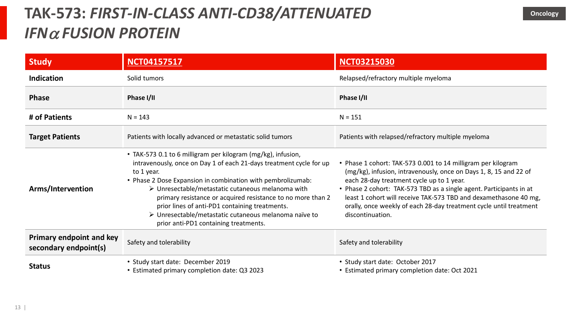# **TAK-573:** *FIRST-IN-CLASS ANTI-CD38/ATTENUATED IFN*<sup>a</sup> *FUSION PROTEIN*

| <b>Study</b>                                             | <b>NCT04157517</b>                                                                                                                                                                                                                                                                                                                                                                                                                                                                                      | <b>NCT03215030</b>                                                                                                                                                                                                                                                                                                                                                                                                  |
|----------------------------------------------------------|---------------------------------------------------------------------------------------------------------------------------------------------------------------------------------------------------------------------------------------------------------------------------------------------------------------------------------------------------------------------------------------------------------------------------------------------------------------------------------------------------------|---------------------------------------------------------------------------------------------------------------------------------------------------------------------------------------------------------------------------------------------------------------------------------------------------------------------------------------------------------------------------------------------------------------------|
| Indication                                               | Solid tumors                                                                                                                                                                                                                                                                                                                                                                                                                                                                                            | Relapsed/refractory multiple myeloma                                                                                                                                                                                                                                                                                                                                                                                |
| <b>Phase</b>                                             | Phase I/II                                                                                                                                                                                                                                                                                                                                                                                                                                                                                              | Phase I/II                                                                                                                                                                                                                                                                                                                                                                                                          |
| # of Patients                                            | $N = 143$                                                                                                                                                                                                                                                                                                                                                                                                                                                                                               | $N = 151$                                                                                                                                                                                                                                                                                                                                                                                                           |
| <b>Target Patients</b>                                   | Patients with locally advanced or metastatic solid tumors                                                                                                                                                                                                                                                                                                                                                                                                                                               | Patients with relapsed/refractory multiple myeloma                                                                                                                                                                                                                                                                                                                                                                  |
| Arms/Intervention                                        | • TAK-573 0.1 to 6 milligram per kilogram (mg/kg), infusion,<br>intravenously, once on Day 1 of each 21-days treatment cycle for up<br>to 1 year.<br>• Phase 2 Dose Expansion in combination with pembrolizumab:<br>$\triangleright$ Unresectable/metastatic cutaneous melanoma with<br>primary resistance or acquired resistance to no more than 2<br>prior lines of anti-PD1 containing treatments.<br>> Unresectable/metastatic cutaneous melanoma naïve to<br>prior anti-PD1 containing treatments. | • Phase 1 cohort: TAK-573 0.001 to 14 milligram per kilogram<br>(mg/kg), infusion, intravenously, once on Days 1, 8, 15 and 22 of<br>each 28-day treatment cycle up to 1 year.<br>• Phase 2 cohort: TAK-573 TBD as a single agent. Participants in at<br>least 1 cohort will receive TAK-573 TBD and dexamethasone 40 mg,<br>orally, once weekly of each 28-day treatment cycle until treatment<br>discontinuation. |
| <b>Primary endpoint and key</b><br>secondary endpoint(s) | Safety and tolerability                                                                                                                                                                                                                                                                                                                                                                                                                                                                                 | Safety and tolerability                                                                                                                                                                                                                                                                                                                                                                                             |
| <b>Status</b>                                            | • Study start date: December 2019<br>• Estimated primary completion date: Q3 2023                                                                                                                                                                                                                                                                                                                                                                                                                       | • Study start date: October 2017<br>• Estimated primary completion date: Oct 2021                                                                                                                                                                                                                                                                                                                                   |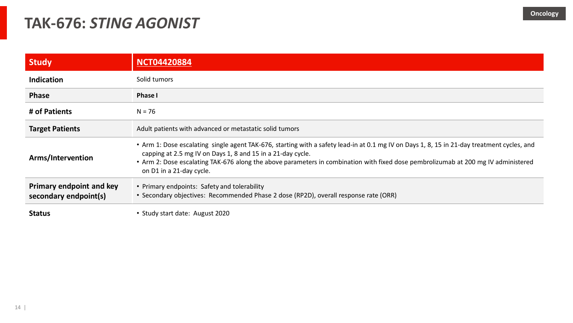#### **TAK-676:** *STING AGONIST*

| <b>Study</b>                                             | <b>NCT04420884</b>                                                                                                                                                                                                                                                                                                                                                           |  |
|----------------------------------------------------------|------------------------------------------------------------------------------------------------------------------------------------------------------------------------------------------------------------------------------------------------------------------------------------------------------------------------------------------------------------------------------|--|
| <b>Indication</b>                                        | Solid tumors                                                                                                                                                                                                                                                                                                                                                                 |  |
| <b>Phase</b>                                             | <b>Phase I</b>                                                                                                                                                                                                                                                                                                                                                               |  |
| # of Patients                                            | $N = 76$                                                                                                                                                                                                                                                                                                                                                                     |  |
| <b>Target Patients</b>                                   | Adult patients with advanced or metastatic solid tumors                                                                                                                                                                                                                                                                                                                      |  |
| Arms/Intervention                                        | • Arm 1: Dose escalating single agent TAK-676, starting with a safety lead-in at 0.1 mg IV on Days 1, 8, 15 in 21-day treatment cycles, and<br>capping at 2.5 mg IV on Days 1, 8 and 15 in a 21-day cycle.<br>• Arm 2: Dose escalating TAK-676 along the above parameters in combination with fixed dose pembrolizumab at 200 mg IV administered<br>on D1 in a 21-day cycle. |  |
| <b>Primary endpoint and key</b><br>secondary endpoint(s) | • Primary endpoints: Safety and tolerability<br>• Secondary objectives: Recommended Phase 2 dose (RP2D), overall response rate (ORR)                                                                                                                                                                                                                                         |  |
| <b>Status</b>                                            | • Study start date: August 2020                                                                                                                                                                                                                                                                                                                                              |  |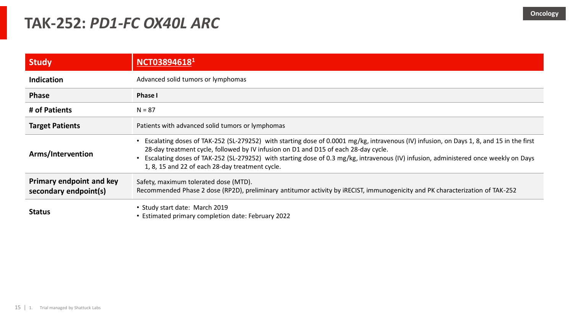#### **TAK-252:** *PD1-FC OX40L ARC*

| <b>Study</b>                                             | NCT038946181                                                                                                                                                                                                                                                                                                                                                                                                               |  |
|----------------------------------------------------------|----------------------------------------------------------------------------------------------------------------------------------------------------------------------------------------------------------------------------------------------------------------------------------------------------------------------------------------------------------------------------------------------------------------------------|--|
| <b>Indication</b>                                        | Advanced solid tumors or lymphomas                                                                                                                                                                                                                                                                                                                                                                                         |  |
| <b>Phase</b>                                             | <b>Phase I</b>                                                                                                                                                                                                                                                                                                                                                                                                             |  |
| # of Patients                                            | $N = 87$                                                                                                                                                                                                                                                                                                                                                                                                                   |  |
| <b>Target Patients</b>                                   | Patients with advanced solid tumors or lymphomas                                                                                                                                                                                                                                                                                                                                                                           |  |
| Arms/Intervention                                        | Escalating doses of TAK-252 (SL-279252) with starting dose of 0.0001 mg/kg, intravenous (IV) infusion, on Days 1, 8, and 15 in the first<br>28-day treatment cycle, followed by IV infusion on D1 and D15 of each 28-day cycle.<br>Escalating doses of TAK-252 (SL-279252) with starting dose of 0.3 mg/kg, intravenous (IV) infusion, administered once weekly on Days<br>1, 8, 15 and 22 of each 28-day treatment cycle. |  |
| <b>Primary endpoint and key</b><br>secondary endpoint(s) | Safety, maximum tolerated dose (MTD).<br>Recommended Phase 2 dose (RP2D), preliminary antitumor activity by IRECIST, immunogenicity and PK characterization of TAK-252                                                                                                                                                                                                                                                     |  |
| <b>Status</b>                                            | • Study start date: March 2019<br>• Estimated primary completion date: February 2022                                                                                                                                                                                                                                                                                                                                       |  |

15 | 1. Trial managed by Shattuck Labs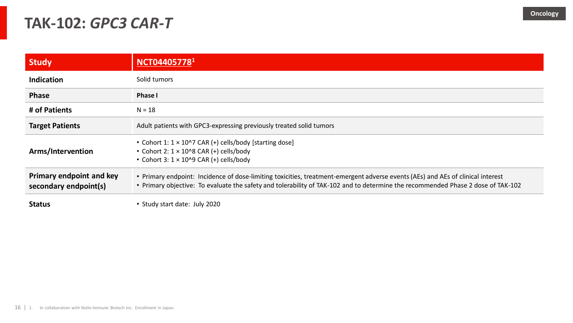#### **TAK-102:** *GPC3 CAR-T*

| <b>Study</b>                                             | NCT044057781                                                                                                                                                                                                                                                        |  |
|----------------------------------------------------------|---------------------------------------------------------------------------------------------------------------------------------------------------------------------------------------------------------------------------------------------------------------------|--|
| <b>Indication</b>                                        | Solid tumors                                                                                                                                                                                                                                                        |  |
| <b>Phase</b>                                             | <b>Phase I</b>                                                                                                                                                                                                                                                      |  |
| # of Patients                                            | $N = 18$                                                                                                                                                                                                                                                            |  |
| <b>Target Patients</b>                                   | Adult patients with GPC3-expressing previously treated solid tumors                                                                                                                                                                                                 |  |
| Arms/Intervention                                        | • Cohort 1: 1 × 10^7 CAR (+) cells/body [starting dose]<br>• Cohort 2: $1 \times 10^{8}$ CAR (+) cells/body<br>• Cohort 3: $1 \times 10^{9}$ CAR (+) cells/body                                                                                                     |  |
| <b>Primary endpoint and key</b><br>secondary endpoint(s) | • Primary endpoint: Incidence of dose-limiting toxicities, treatment-emergent adverse events (AEs) and AEs of clinical interest<br>• Primary objective: To evaluate the safety and tolerability of TAK-102 and to determine the recommended Phase 2 dose of TAK-102 |  |
| <b>Status</b>                                            | • Study start date: July 2020                                                                                                                                                                                                                                       |  |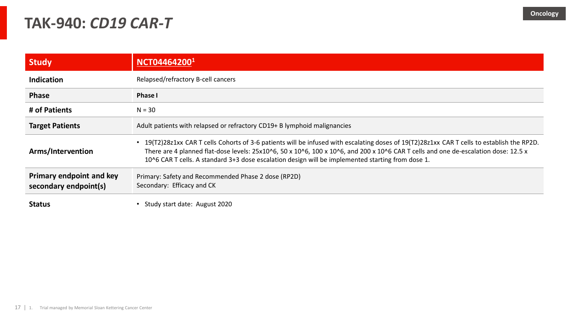#### **TAK-940:** *CD19 CAR-T*

| <b>Study</b>                                             | NCT044642001                                                                                                                                                                                                                                                                                                                                                                          |  |
|----------------------------------------------------------|---------------------------------------------------------------------------------------------------------------------------------------------------------------------------------------------------------------------------------------------------------------------------------------------------------------------------------------------------------------------------------------|--|
| <b>Indication</b>                                        | Relapsed/refractory B-cell cancers                                                                                                                                                                                                                                                                                                                                                    |  |
| <b>Phase</b>                                             | <b>Phase I</b>                                                                                                                                                                                                                                                                                                                                                                        |  |
| # of Patients                                            | $N = 30$                                                                                                                                                                                                                                                                                                                                                                              |  |
| <b>Target Patients</b>                                   | Adult patients with relapsed or refractory CD19+ B lymphoid malignancies                                                                                                                                                                                                                                                                                                              |  |
| Arms/Intervention                                        | 19(T2)28z1xx CAR T cells Cohorts of 3-6 patients will be infused with escalating doses of 19(T2)28z1xx CAR T cells to establish the RP2D.<br>There are 4 planned flat-dose levels: 25x10^6, 50 x 10^6, 100 x 10^6, and 200 x 10^6 CAR T cells and one de-escalation dose: 12.5 x<br>10^6 CAR T cells. A standard 3+3 dose escalation design will be implemented starting from dose 1. |  |
| <b>Primary endpoint and key</b><br>secondary endpoint(s) | Primary: Safety and Recommended Phase 2 dose (RP2D)<br>Secondary: Efficacy and CK                                                                                                                                                                                                                                                                                                     |  |
| <b>Status</b>                                            | Study start date: August 2020                                                                                                                                                                                                                                                                                                                                                         |  |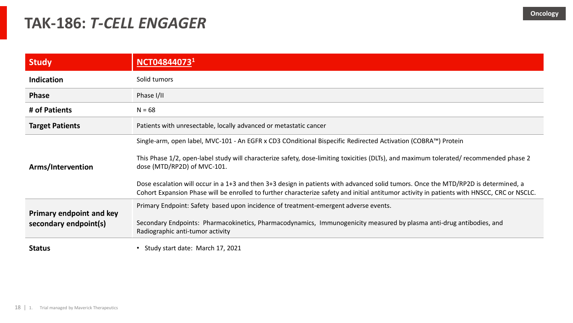#### **TAK-186:** *T-CELL ENGAGER*

| <b>Study</b>                                             | NCT048440731                                                                                                                                                                                                                                                                                                                                                                                                                                                                                                                                                                |  |
|----------------------------------------------------------|-----------------------------------------------------------------------------------------------------------------------------------------------------------------------------------------------------------------------------------------------------------------------------------------------------------------------------------------------------------------------------------------------------------------------------------------------------------------------------------------------------------------------------------------------------------------------------|--|
| <b>Indication</b>                                        | Solid tumors                                                                                                                                                                                                                                                                                                                                                                                                                                                                                                                                                                |  |
| <b>Phase</b>                                             | Phase I/II                                                                                                                                                                                                                                                                                                                                                                                                                                                                                                                                                                  |  |
| # of Patients                                            | $N = 68$                                                                                                                                                                                                                                                                                                                                                                                                                                                                                                                                                                    |  |
| <b>Target Patients</b>                                   | Patients with unresectable, locally advanced or metastatic cancer                                                                                                                                                                                                                                                                                                                                                                                                                                                                                                           |  |
| Arms/Intervention                                        | Single-arm, open label, MVC-101 - An EGFR x CD3 COnditional Bispecific Redirected Activation (COBRA™) Protein<br>This Phase 1/2, open-label study will characterize safety, dose-limiting toxicities (DLTs), and maximum tolerated/ recommended phase 2<br>dose (MTD/RP2D) of MVC-101.<br>Dose escalation will occur in a 1+3 and then 3+3 design in patients with advanced solid tumors. Once the MTD/RP2D is determined, a<br>Cohort Expansion Phase will be enrolled to further characterize safety and initial antitumor activity in patients with HNSCC, CRC or NSCLC. |  |
| <b>Primary endpoint and key</b><br>secondary endpoint(s) | Primary Endpoint: Safety based upon incidence of treatment-emergent adverse events.<br>Secondary Endpoints: Pharmacokinetics, Pharmacodynamics, Immunogenicity measured by plasma anti-drug antibodies, and<br>Radiographic anti-tumor activity                                                                                                                                                                                                                                                                                                                             |  |
| <b>Status</b>                                            | Study start date: March 17, 2021                                                                                                                                                                                                                                                                                                                                                                                                                                                                                                                                            |  |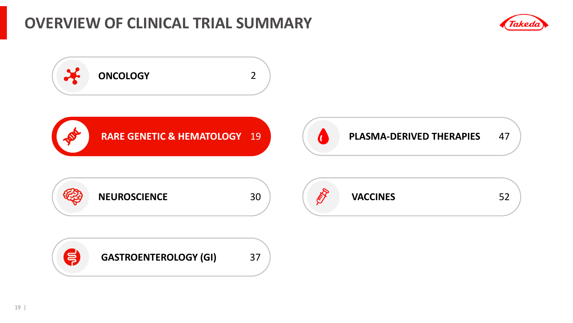### **OVERVIEW OF CLINICAL TRIAL SUMMARY**



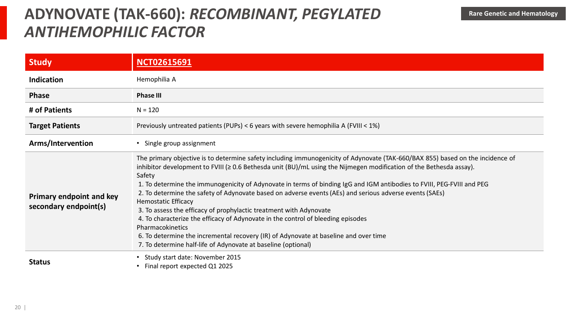### **ADYNOVATE (TAK-660): RECOMBINANT, PEGYLATED** Rare Genetic and Hematology *ANTIHEMOPHILIC FACTOR*

| <b>Study</b>                                             | <b>NCT02615691</b>                                                                                                                                                                                                                                                                                                                                                                                                                                                                                                                                                                                                                                                                                                                                                                                                                                                        |  |  |
|----------------------------------------------------------|---------------------------------------------------------------------------------------------------------------------------------------------------------------------------------------------------------------------------------------------------------------------------------------------------------------------------------------------------------------------------------------------------------------------------------------------------------------------------------------------------------------------------------------------------------------------------------------------------------------------------------------------------------------------------------------------------------------------------------------------------------------------------------------------------------------------------------------------------------------------------|--|--|
| <b>Indication</b>                                        | Hemophilia A                                                                                                                                                                                                                                                                                                                                                                                                                                                                                                                                                                                                                                                                                                                                                                                                                                                              |  |  |
| <b>Phase</b>                                             | <b>Phase III</b>                                                                                                                                                                                                                                                                                                                                                                                                                                                                                                                                                                                                                                                                                                                                                                                                                                                          |  |  |
| # of Patients                                            | $N = 120$                                                                                                                                                                                                                                                                                                                                                                                                                                                                                                                                                                                                                                                                                                                                                                                                                                                                 |  |  |
| <b>Target Patients</b>                                   | Previously untreated patients (PUPs) < 6 years with severe hemophilia A (FVIII < 1%)                                                                                                                                                                                                                                                                                                                                                                                                                                                                                                                                                                                                                                                                                                                                                                                      |  |  |
| Arms/Intervention                                        | Single group assignment                                                                                                                                                                                                                                                                                                                                                                                                                                                                                                                                                                                                                                                                                                                                                                                                                                                   |  |  |
| <b>Primary endpoint and key</b><br>secondary endpoint(s) | The primary objective is to determine safety including immunogenicity of Adynovate (TAK-660/BAX 855) based on the incidence of<br>inhibitor development to FVIII (≥ 0.6 Bethesda unit (BU)/mL using the Nijmegen modification of the Bethesda assay).<br>Safety<br>1. To determine the immunogenicity of Adynovate in terms of binding IgG and IGM antibodies to FVIII, PEG-FVIII and PEG<br>2. To determine the safety of Adynovate based on adverse events (AEs) and serious adverse events (SAEs)<br><b>Hemostatic Efficacy</b><br>3. To assess the efficacy of prophylactic treatment with Adynovate<br>4. To characterize the efficacy of Adynovate in the control of bleeding episodes<br>Pharmacokinetics<br>6. To determine the incremental recovery (IR) of Adynovate at baseline and over time<br>7. To determine half-life of Adynovate at baseline (optional) |  |  |
| <b>Status</b>                                            | Study start date: November 2015<br>Final report expected Q1 2025                                                                                                                                                                                                                                                                                                                                                                                                                                                                                                                                                                                                                                                                                                                                                                                                          |  |  |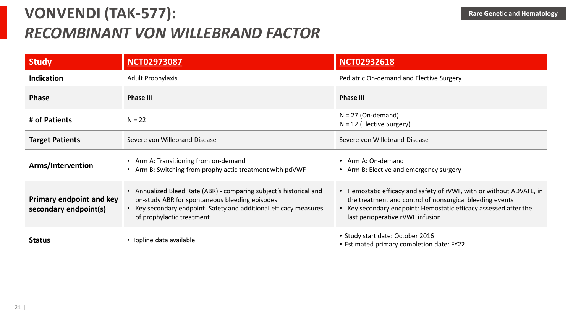# **VONVENDI (TAK-577):**  *RECOMBINANT VON WILLEBRAND FACTOR*

| <b>Study</b>                                             | <b>NCT02973087</b>                                                                                                                                                                                                     | <b>NCT02932618</b>                                                                                                                                                                                                                       |
|----------------------------------------------------------|------------------------------------------------------------------------------------------------------------------------------------------------------------------------------------------------------------------------|------------------------------------------------------------------------------------------------------------------------------------------------------------------------------------------------------------------------------------------|
| <b>Indication</b>                                        | <b>Adult Prophylaxis</b>                                                                                                                                                                                               | Pediatric On-demand and Elective Surgery                                                                                                                                                                                                 |
| <b>Phase</b>                                             | <b>Phase III</b>                                                                                                                                                                                                       | <b>Phase III</b>                                                                                                                                                                                                                         |
| # of Patients                                            | $N = 22$                                                                                                                                                                                                               | $N = 27$ (On-demand)<br>$N = 12$ (Elective Surgery)                                                                                                                                                                                      |
| <b>Target Patients</b>                                   | Severe von Willebrand Disease                                                                                                                                                                                          | Severe von Willebrand Disease                                                                                                                                                                                                            |
| Arms/Intervention                                        | • Arm A: Transitioning from on-demand<br>• Arm B: Switching from prophylactic treatment with pdVWF                                                                                                                     | • Arm A: On-demand<br>• Arm B: Elective and emergency surgery                                                                                                                                                                            |
| <b>Primary endpoint and key</b><br>secondary endpoint(s) | • Annualized Bleed Rate (ABR) - comparing subject's historical and<br>on-study ABR for spontaneous bleeding episodes<br>• Key secondary endpoint: Safety and additional efficacy measures<br>of prophylactic treatment | • Hemostatic efficacy and safety of rVWF, with or without ADVATE, in<br>the treatment and control of nonsurgical bleeding events<br>• Key secondary endpoint: Hemostatic efficacy assessed after the<br>last perioperative rVWF infusion |
| <b>Status</b>                                            | • Topline data available                                                                                                                                                                                               | • Study start date: October 2016<br>• Estimated primary completion date: FY22                                                                                                                                                            |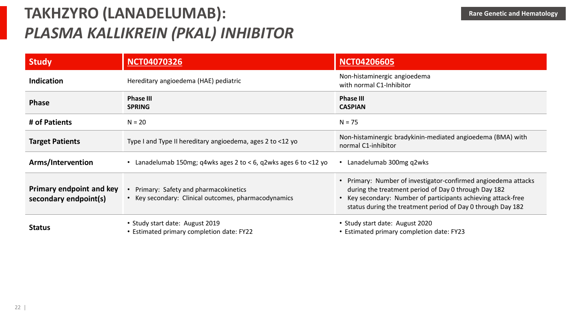# **TAKHZYRO (LANADELUMAB):**  *PLASMA KALLIKREIN (PKAL) INHIBITOR*

| <b>Study</b>                                             | <b>NCT04070326</b>                                                                         | <b>NCT04206605</b>                                                                                                                                                                                                                                 |
|----------------------------------------------------------|--------------------------------------------------------------------------------------------|----------------------------------------------------------------------------------------------------------------------------------------------------------------------------------------------------------------------------------------------------|
| <b>Indication</b>                                        | Hereditary angioedema (HAE) pediatric                                                      | Non-histaminergic angioedema<br>with normal C1-Inhibitor                                                                                                                                                                                           |
| <b>Phase</b>                                             | <b>Phase III</b><br><b>SPRING</b>                                                          | <b>Phase III</b><br><b>CASPIAN</b>                                                                                                                                                                                                                 |
| # of Patients                                            | $N = 20$                                                                                   | $N = 75$                                                                                                                                                                                                                                           |
| <b>Target Patients</b>                                   | Type I and Type II hereditary angioedema, ages 2 to <12 yo                                 | Non-histaminergic bradykinin-mediated angioedema (BMA) with<br>normal C1-inhibitor                                                                                                                                                                 |
| Arms/Intervention                                        | • Lanadelumab 150mg; q4wks ages 2 to < 6, q2wks ages 6 to <12 yo                           | Lanadelumab 300mg q2wks                                                                                                                                                                                                                            |
| <b>Primary endpoint and key</b><br>secondary endpoint(s) | Primary: Safety and pharmacokinetics<br>Key secondary: Clinical outcomes, pharmacodynamics | Primary: Number of investigator-confirmed angioedema attacks<br>during the treatment period of Day 0 through Day 182<br>Key secondary: Number of participants achieving attack-free<br>status during the treatment period of Day 0 through Day 182 |
| <b>Status</b>                                            | • Study start date: August 2019<br>• Estimated primary completion date: FY22               | • Study start date: August 2020<br>• Estimated primary completion date: FY23                                                                                                                                                                       |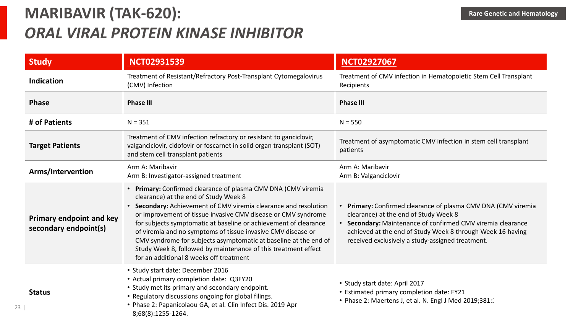# **MARIBAVIR (TAK-620):**  *ORAL VIRAL PROTEIN KINASE INHIBITOR*

23 |

| <b>Study</b>                                             | <b>NCT02931539</b>                                                                                                                                                                                                                                                                                                                                                                                                                                                                                                                                               | <b>NCT02927067</b>                                                                                                                                                                                                                                                                    |  |
|----------------------------------------------------------|------------------------------------------------------------------------------------------------------------------------------------------------------------------------------------------------------------------------------------------------------------------------------------------------------------------------------------------------------------------------------------------------------------------------------------------------------------------------------------------------------------------------------------------------------------------|---------------------------------------------------------------------------------------------------------------------------------------------------------------------------------------------------------------------------------------------------------------------------------------|--|
| <b>Indication</b>                                        | Treatment of Resistant/Refractory Post-Transplant Cytomegalovirus<br>(CMV) Infection                                                                                                                                                                                                                                                                                                                                                                                                                                                                             | Treatment of CMV infection in Hematopoietic Stem Cell Transplant<br>Recipients                                                                                                                                                                                                        |  |
| <b>Phase</b>                                             | <b>Phase III</b><br><b>Phase III</b>                                                                                                                                                                                                                                                                                                                                                                                                                                                                                                                             |                                                                                                                                                                                                                                                                                       |  |
| # of Patients                                            | $N = 351$                                                                                                                                                                                                                                                                                                                                                                                                                                                                                                                                                        | $N = 550$                                                                                                                                                                                                                                                                             |  |
| <b>Target Patients</b>                                   | Treatment of CMV infection refractory or resistant to ganciclovir,<br>valganciclovir, cidofovir or foscarnet in solid organ transplant (SOT)<br>and stem cell transplant patients                                                                                                                                                                                                                                                                                                                                                                                | Treatment of asymptomatic CMV infection in stem cell transplant<br>patients                                                                                                                                                                                                           |  |
| Arms/Intervention                                        | Arm A: Maribavir<br>Arm B: Investigator-assigned treatment                                                                                                                                                                                                                                                                                                                                                                                                                                                                                                       | Arm A: Maribavir<br>Arm B: Valganciclovir                                                                                                                                                                                                                                             |  |
| <b>Primary endpoint and key</b><br>secondary endpoint(s) | • Primary: Confirmed clearance of plasma CMV DNA (CMV viremia<br>clearance) at the end of Study Week 8<br>• Secondary: Achievement of CMV viremia clearance and resolution<br>or improvement of tissue invasive CMV disease or CMV syndrome<br>for subjects symptomatic at baseline or achievement of clearance<br>of viremia and no symptoms of tissue invasive CMV disease or<br>CMV syndrome for subjects asymptomatic at baseline at the end of<br>Study Week 8, followed by maintenance of this treatment effect<br>for an additional 8 weeks off treatment | Primary: Confirmed clearance of plasma CMV DNA (CMV viremia<br>clearance) at the end of Study Week 8<br>• Secondary: Maintenance of confirmed CMV viremia clearance<br>achieved at the end of Study Week 8 through Week 16 having<br>received exclusively a study-assigned treatment. |  |
| <b>Status</b>                                            | • Study start date: December 2016<br>• Actual primary completion date: Q3FY20<br>• Study met its primary and secondary endpoint.<br>• Regulatory discussions ongoing for global filings.<br>• Phase 2: Papanicolaou GA, et al. Clin Infect Dis. 2019 Apr<br>8;68(8):1255-1264.                                                                                                                                                                                                                                                                                   | • Study start date: April 2017<br>• Estimated primary completion date: FY21<br>• Phase 2: Maertens J, et al. N. Engl J Med 2019;381:                                                                                                                                                  |  |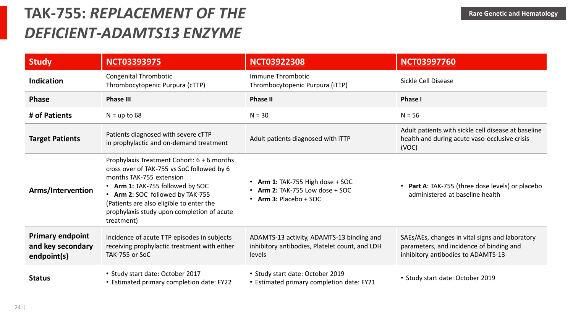### **TAK-755:** *REPLACEMENT OF THE DEFICIENT-ADAMTS13 ENZYME*

| <b>Study</b>                                                | <b>NCT03393975</b>                                                                                                                                                                                                                                                                                   | <b>NCT03922308</b>                                                                                    | <b>NCT03997760</b>                                                                                                                |
|-------------------------------------------------------------|------------------------------------------------------------------------------------------------------------------------------------------------------------------------------------------------------------------------------------------------------------------------------------------------------|-------------------------------------------------------------------------------------------------------|-----------------------------------------------------------------------------------------------------------------------------------|
| <b>Indication</b>                                           | <b>Congenital Thrombotic</b><br>Thrombocytopenic Purpura (cTTP)                                                                                                                                                                                                                                      | Immune Thrombotic<br>Thrombocytopenic Purpura (iTTP)                                                  | Sickle Cell Disease                                                                                                               |
| <b>Phase</b>                                                | <b>Phase III</b>                                                                                                                                                                                                                                                                                     | <b>Phase II</b>                                                                                       | <b>Phase I</b>                                                                                                                    |
| # of Patients                                               | $N = up to 68$                                                                                                                                                                                                                                                                                       | $N = 30$                                                                                              | $N = 56$                                                                                                                          |
| <b>Target Patients</b>                                      | Patients diagnosed with severe cTTP<br>in prophylactic and on-demand treatment                                                                                                                                                                                                                       | Adult patients diagnosed with iTTP                                                                    | Adult patients with sickle cell disease at baseline<br>health and during acute vaso-occlusive crisis<br>(VOC)                     |
| Arms/Intervention                                           | Prophylaxis Treatment Cohort: 6 + 6 months<br>cross over of TAK-755 vs SoC followed by 6<br>months TAK-755 extension<br>• Arm 1: TAK-755 followed by SOC<br>• Arm 2: SOC followed by TAK-755<br>(Patients are also eligible to enter the<br>prophylaxis study upon completion of acute<br>treatment) | <b>Arm 1: TAK-755 High dose + SOC</b><br>Arm 2: TAK-755 Low dose $+$ SOC<br>Arm 3: Placebo + SOC      | <b>Part A:</b> TAK-755 (three dose levels) or placebo<br>administered at baseline health                                          |
| <b>Primary endpoint</b><br>and key secondary<br>endpoint(s) | Incidence of acute TTP episodes in subjects<br>receiving prophylactic treatment with either<br>TAK-755 or SoC                                                                                                                                                                                        | ADAMTS-13 activity, ADAMTS-13 binding and<br>inhibitory antibodies, Platelet count, and LDH<br>levels | SAEs/AEs, changes in vital signs and laboratory<br>parameters, and incidence of binding and<br>inhibitory antibodies to ADAMTS-13 |
| <b>Status</b>                                               | • Study start date: October 2017<br>• Estimated primary completion date: FY22                                                                                                                                                                                                                        | • Study start date: October 2019<br>• Estimated primary completion date: FY21                         | • Study start date: October 2019                                                                                                  |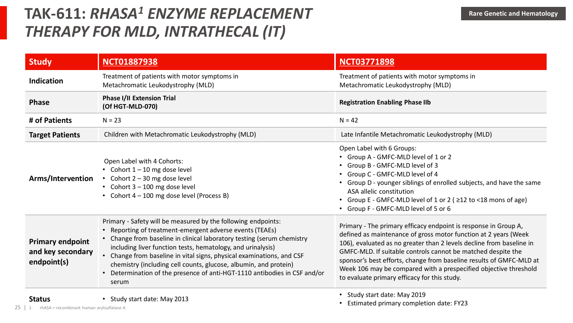### TAK-611:  $RHASA<sup>1</sup>$  *ENZYME REPLACEMENT* EXAMPLE **Rare Genetic and Hematology** *THERAPY FOR MLD, INTRATHECAL (IT)*

| <b>Study</b>                                                | <b>NCT01887938</b>                                                                                                                                                                                                                                                                                                                                                                                                                                                                                  | <b>NCT03771898</b>                                                                                                                                                                                                                                                                                                                                                                                                                                                    |
|-------------------------------------------------------------|-----------------------------------------------------------------------------------------------------------------------------------------------------------------------------------------------------------------------------------------------------------------------------------------------------------------------------------------------------------------------------------------------------------------------------------------------------------------------------------------------------|-----------------------------------------------------------------------------------------------------------------------------------------------------------------------------------------------------------------------------------------------------------------------------------------------------------------------------------------------------------------------------------------------------------------------------------------------------------------------|
| Indication                                                  | Treatment of patients with motor symptoms in<br>Metachromatic Leukodystrophy (MLD)                                                                                                                                                                                                                                                                                                                                                                                                                  | Treatment of patients with motor symptoms in<br>Metachromatic Leukodystrophy (MLD)                                                                                                                                                                                                                                                                                                                                                                                    |
| <b>Phase</b>                                                | <b>Phase I/II Extension Trial</b><br>(Of HGT-MLD-070)                                                                                                                                                                                                                                                                                                                                                                                                                                               | <b>Registration Enabling Phase IIb</b>                                                                                                                                                                                                                                                                                                                                                                                                                                |
| # of Patients                                               | $N = 23$                                                                                                                                                                                                                                                                                                                                                                                                                                                                                            | $N = 42$                                                                                                                                                                                                                                                                                                                                                                                                                                                              |
| <b>Target Patients</b>                                      | Children with Metachromatic Leukodystrophy (MLD)                                                                                                                                                                                                                                                                                                                                                                                                                                                    | Late Infantile Metachromatic Leukodystrophy (MLD)                                                                                                                                                                                                                                                                                                                                                                                                                     |
| Arms/Intervention                                           | Open Label with 4 Cohorts:<br>• Cohort $1 - 10$ mg dose level<br>• Cohort $2 - 30$ mg dose level<br>• Cohort $3 - 100$ mg dose level<br>Cohort 4 - 100 mg dose level (Process B)                                                                                                                                                                                                                                                                                                                    | Open Label with 6 Groups:<br>• Group A - GMFC-MLD level of 1 or 2<br>• Group B - GMFC-MLD level of 3<br>• Group C - GMFC-MLD level of 4<br>• Group D - younger siblings of enrolled subjects, and have the same<br>ASA allelic constitution<br>• Group E - GMFC-MLD level of 1 or 2 ( $\geq$ 12 to <18 mons of age)<br>• Group F - GMFC-MLD level of 5 or 6                                                                                                           |
| <b>Primary endpoint</b><br>and key secondary<br>endpoint(s) | Primary - Safety will be measured by the following endpoints:<br>• Reporting of treatment-emergent adverse events (TEAEs)<br>• Change from baseline in clinical laboratory testing (serum chemistry<br>including liver function tests, hematology, and urinalysis)<br>• Change from baseline in vital signs, physical examinations, and CSF<br>chemistry (including cell counts, glucose, albumin, and protein)<br>Determination of the presence of anti-HGT-1110 antibodies in CSF and/or<br>serum | Primary - The primary efficacy endpoint is response in Group A,<br>defined as maintenance of gross motor function at 2 years (Week<br>106), evaluated as no greater than 2 levels decline from baseline in<br>GMFC-MLD. If suitable controls cannot be matched despite the<br>sponsor's best efforts, change from baseline results of GMFC-MLD at<br>Week 106 may be compared with a prespecified objective threshold<br>to evaluate primary efficacy for this study. |
| <b>Status</b>                                               | • Study start date: May 2013                                                                                                                                                                                                                                                                                                                                                                                                                                                                        | Study start date: May 2019<br>Estimated primary completion date: FY23                                                                                                                                                                                                                                                                                                                                                                                                 |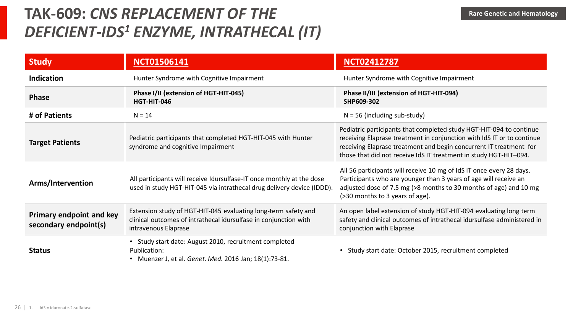### **TAK-609: CNS REPLACEMENT OF THE Rare Genetic and Hematology** *DEFICIENT-IDS<sup>1</sup> ENZYME, INTRATHECAL (IT)*

| <b>Study</b>                                             | <b>NCT01506141</b>                                                                                                                                         | <b>NCT02412787</b>                                                                                                                                                                                                                                                                       |  |
|----------------------------------------------------------|------------------------------------------------------------------------------------------------------------------------------------------------------------|------------------------------------------------------------------------------------------------------------------------------------------------------------------------------------------------------------------------------------------------------------------------------------------|--|
| <b>Indication</b>                                        | Hunter Syndrome with Cognitive Impairment                                                                                                                  | Hunter Syndrome with Cognitive Impairment                                                                                                                                                                                                                                                |  |
| <b>Phase</b>                                             | Phase I/II (extension of HGT-HIT-045)<br>HGT-HIT-046                                                                                                       | Phase II/III (extension of HGT-HIT-094)<br>SHP609-302                                                                                                                                                                                                                                    |  |
| # of Patients                                            | $N = 14$                                                                                                                                                   | $N = 56$ (including sub-study)                                                                                                                                                                                                                                                           |  |
| <b>Target Patients</b>                                   | Pediatric participants that completed HGT-HIT-045 with Hunter<br>syndrome and cognitive Impairment                                                         | Pediatric participants that completed study HGT-HIT-094 to continue<br>receiving Elaprase treatment in conjunction with IdS IT or to continue<br>receiving Elaprase treatment and begin concurrent IT treatment for<br>those that did not receive IdS IT treatment in study HGT-HIT-094. |  |
| Arms/Intervention                                        | All participants will receive Idursulfase-IT once monthly at the dose<br>used in study HGT-HIT-045 via intrathecal drug delivery device (IDDD).            | All 56 participants will receive 10 mg of IdS IT once every 28 days.<br>Participants who are younger than 3 years of age will receive an<br>adjusted dose of 7.5 mg (>8 months to 30 months of age) and 10 mg<br>(>30 months to 3 years of age).                                         |  |
| <b>Primary endpoint and key</b><br>secondary endpoint(s) | Extension study of HGT-HIT-045 evaluating long-term safety and<br>clinical outcomes of intrathecal idursulfase in conjunction with<br>intravenous Elaprase | An open label extension of study HGT-HIT-094 evaluating long term<br>safety and clinical outcomes of intrathecal idursulfase administered in<br>conjunction with Elaprase                                                                                                                |  |
| <b>Status</b>                                            | • Study start date: August 2010, recruitment completed<br>Publication:<br>Muenzer J, et al. Genet. Med. 2016 Jan; 18(1):73-81.                             | Study start date: October 2015, recruitment completed<br>٠                                                                                                                                                                                                                               |  |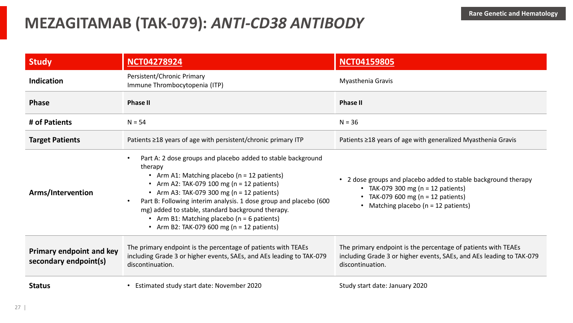#### **MEZAGITAMAB (TAK-079):** *ANTI-CD38 ANTIBODY*

| <b>Study</b>                                             | <b>NCT04278924</b>                                                                                                                                                                                                                                                                                                                                                                                                                                  | <b>NCT04159805</b>                                                                                                                                                                       |
|----------------------------------------------------------|-----------------------------------------------------------------------------------------------------------------------------------------------------------------------------------------------------------------------------------------------------------------------------------------------------------------------------------------------------------------------------------------------------------------------------------------------------|------------------------------------------------------------------------------------------------------------------------------------------------------------------------------------------|
| <b>Indication</b>                                        | Persistent/Chronic Primary<br>Immune Thrombocytopenia (ITP)                                                                                                                                                                                                                                                                                                                                                                                         | Myasthenia Gravis                                                                                                                                                                        |
| <b>Phase</b>                                             | <b>Phase II</b>                                                                                                                                                                                                                                                                                                                                                                                                                                     | <b>Phase II</b>                                                                                                                                                                          |
| # of Patients                                            | $N = 54$                                                                                                                                                                                                                                                                                                                                                                                                                                            | $N = 36$                                                                                                                                                                                 |
| <b>Target Patients</b>                                   | Patients ≥18 years of age with persistent/chronic primary ITP                                                                                                                                                                                                                                                                                                                                                                                       | Patients ≥18 years of age with generalized Myasthenia Gravis                                                                                                                             |
| Arms/Intervention                                        | Part A: 2 dose groups and placebo added to stable background<br>therapy<br>• Arm A1: Matching placebo (n = 12 patients)<br>• Arm A2: TAK-079 100 mg ( $n = 12$ patients)<br>• Arm A3: TAK-079 300 mg ( $n = 12$ patients)<br>Part B: Following interim analysis. 1 dose group and placebo (600<br>mg) added to stable, standard background therapy.<br>• Arm B1: Matching placebo (n = 6 patients)<br>• Arm B2: TAK-079 600 mg ( $n = 12$ patients) | • 2 dose groups and placebo added to stable background therapy<br>• TAK-079 300 mg ( $n = 12$ patients)<br>• TAK-079 600 mg ( $n = 12$ patients)<br>• Matching placebo (n = 12 patients) |
| <b>Primary endpoint and key</b><br>secondary endpoint(s) | The primary endpoint is the percentage of patients with TEAEs<br>including Grade 3 or higher events, SAEs, and AEs leading to TAK-079<br>discontinuation.                                                                                                                                                                                                                                                                                           | The primary endpoint is the percentage of patients with TEAEs<br>including Grade 3 or higher events, SAEs, and AEs leading to TAK-079<br>discontinuation.                                |
| <b>Status</b>                                            | • Estimated study start date: November 2020                                                                                                                                                                                                                                                                                                                                                                                                         | Study start date: January 2020                                                                                                                                                           |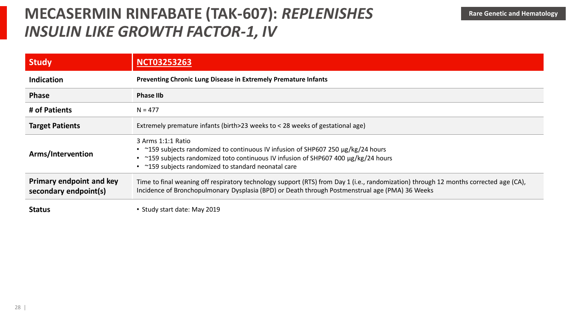### **MECASERMIN RINFABATE (TAK-607): REPLENISHES** Rare Genetic and Hematology *INSULIN LIKE GROWTH FACTOR-1, IV*

| <b>Study</b>                                             | <b>NCT03253263</b>                                                                                                                                                                                                                                 |  |
|----------------------------------------------------------|----------------------------------------------------------------------------------------------------------------------------------------------------------------------------------------------------------------------------------------------------|--|
| <b>Indication</b>                                        | <b>Preventing Chronic Lung Disease in Extremely Premature Infants</b>                                                                                                                                                                              |  |
| <b>Phase</b>                                             | <b>Phase IIb</b>                                                                                                                                                                                                                                   |  |
| # of Patients                                            | $N = 477$                                                                                                                                                                                                                                          |  |
| <b>Target Patients</b>                                   | Extremely premature infants (birth > 23 weeks to $<$ 28 weeks of gestational age)                                                                                                                                                                  |  |
| Arms/Intervention                                        | 3 Arms 1:1:1 Ratio<br>• ~159 subjects randomized to continuous IV infusion of SHP607 250 µg/kg/24 hours<br>~159 subjects randomized toto continuous IV infusion of SHP607 400 µg/kg/24 hours<br>~159 subjects randomized to standard neonatal care |  |
| <b>Primary endpoint and key</b><br>secondary endpoint(s) | Time to final weaning off respiratory technology support (RTS) from Day 1 (i.e., randomization) through 12 months corrected age (CA),<br>Incidence of Bronchopulmonary Dysplasia (BPD) or Death through Postmenstrual age (PMA) 36 Weeks           |  |
| <b>Status</b>                                            | • Study start date: May 2019                                                                                                                                                                                                                       |  |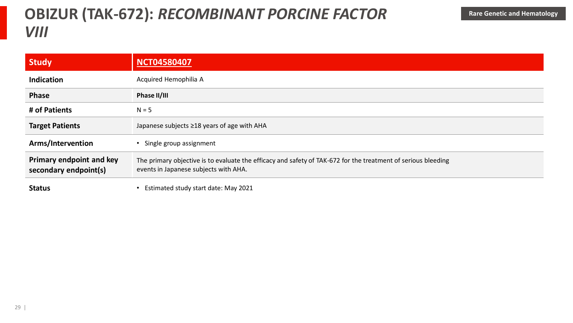### **OBIZUR (TAK-672): RECOMBINANT PORCINE FACTOR** Rare Genetic and Hematology *VIII*

| <b>Study</b>                                      | <b>NCT04580407</b>                                                                                                                                     |
|---------------------------------------------------|--------------------------------------------------------------------------------------------------------------------------------------------------------|
| <b>Indication</b>                                 | Acquired Hemophilia A                                                                                                                                  |
| <b>Phase</b>                                      | Phase II/III                                                                                                                                           |
| # of Patients                                     | $N = 5$                                                                                                                                                |
| <b>Target Patients</b>                            | Japanese subjects ≥18 years of age with AHA                                                                                                            |
| Arms/Intervention                                 | Single group assignment                                                                                                                                |
| Primary endpoint and key<br>secondary endpoint(s) | The primary objective is to evaluate the efficacy and safety of TAK-672 for the treatment of serious bleeding<br>events in Japanese subjects with AHA. |
| <b>Status</b>                                     | Estimated study start date: May 2021                                                                                                                   |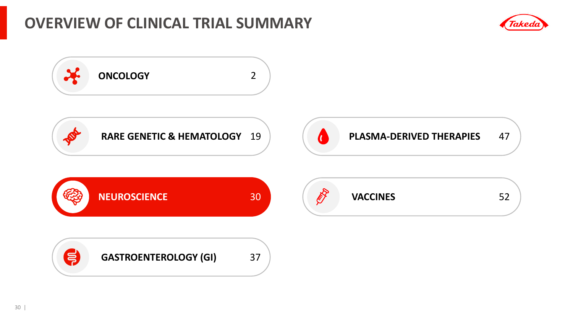#### **OVERVIEW OF CLINICAL TRIAL SUMMARY**



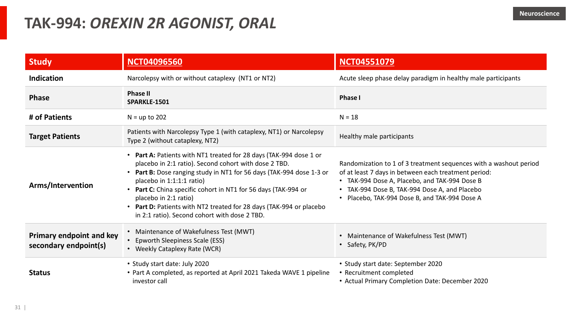#### **TAK-994:** *OREXIN 2R AGONIST, ORAL*

| <b>Study</b>                                             | <b>NCT04096560</b>                                                                                                                                                                                                                                                                                                                                                                                                                                  | <b>NCT04551079</b>                                                                                                                                                                                                                                                           |
|----------------------------------------------------------|-----------------------------------------------------------------------------------------------------------------------------------------------------------------------------------------------------------------------------------------------------------------------------------------------------------------------------------------------------------------------------------------------------------------------------------------------------|------------------------------------------------------------------------------------------------------------------------------------------------------------------------------------------------------------------------------------------------------------------------------|
| Indication                                               | Narcolepsy with or without cataplexy (NT1 or NT2)                                                                                                                                                                                                                                                                                                                                                                                                   | Acute sleep phase delay paradigm in healthy male participants                                                                                                                                                                                                                |
| <b>Phase</b>                                             | <b>Phase II</b><br>SPARKLE-1501                                                                                                                                                                                                                                                                                                                                                                                                                     | <b>Phase I</b>                                                                                                                                                                                                                                                               |
| # of Patients                                            | $N = up to 202$                                                                                                                                                                                                                                                                                                                                                                                                                                     | $N = 18$                                                                                                                                                                                                                                                                     |
| <b>Target Patients</b>                                   | Patients with Narcolepsy Type 1 (with cataplexy, NT1) or Narcolepsy<br>Type 2 (without cataplexy, NT2)                                                                                                                                                                                                                                                                                                                                              | Healthy male participants                                                                                                                                                                                                                                                    |
| Arms/Intervention                                        | • Part A: Patients with NT1 treated for 28 days (TAK-994 dose 1 or<br>placebo in 2:1 ratio). Second cohort with dose 2 TBD.<br>• Part B: Dose ranging study in NT1 for 56 days (TAK-994 dose 1-3 or<br>placebo in 1:1:1:1 ratio)<br>• Part C: China specific cohort in NT1 for 56 days (TAK-994 or<br>placebo in 2:1 ratio)<br>• Part D: Patients with NT2 treated for 28 days (TAK-994 or placebo<br>in 2:1 ratio). Second cohort with dose 2 TBD. | Randomization to 1 of 3 treatment sequences with a washout period<br>of at least 7 days in between each treatment period:<br>• TAK-994 Dose A, Placebo, and TAK-994 Dose B<br>• TAK-994 Dose B, TAK-994 Dose A, and Placebo<br>• Placebo, TAK-994 Dose B, and TAK-994 Dose A |
| <b>Primary endpoint and key</b><br>secondary endpoint(s) | • Maintenance of Wakefulness Test (MWT)<br>• Epworth Sleepiness Scale (ESS)<br>• Weekly Cataplexy Rate (WCR)                                                                                                                                                                                                                                                                                                                                        | • Maintenance of Wakefulness Test (MWT)<br>• Safety, PK/PD                                                                                                                                                                                                                   |
| <b>Status</b>                                            | • Study start date: July 2020<br>• Part A completed, as reported at April 2021 Takeda WAVE 1 pipeline<br>investor call                                                                                                                                                                                                                                                                                                                              | • Study start date: September 2020<br>• Recruitment completed<br>• Actual Primary Completion Date: December 2020                                                                                                                                                             |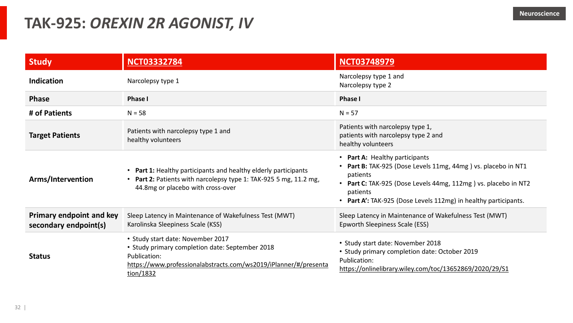#### **TAK-925:** *OREXIN 2R AGONIST, IV*

| <b>Study</b>                                             | <b>NCT03332784</b>                                                                                                                                                                    | <b>NCT03748979</b>                                                                                                                                                                                                                                         |
|----------------------------------------------------------|---------------------------------------------------------------------------------------------------------------------------------------------------------------------------------------|------------------------------------------------------------------------------------------------------------------------------------------------------------------------------------------------------------------------------------------------------------|
| <b>Indication</b>                                        | Narcolepsy type 1                                                                                                                                                                     | Narcolepsy type 1 and<br>Narcolepsy type 2                                                                                                                                                                                                                 |
| <b>Phase</b>                                             | <b>Phase I</b>                                                                                                                                                                        | <b>Phase I</b>                                                                                                                                                                                                                                             |
| # of Patients                                            | $N = 58$                                                                                                                                                                              | $N = 57$                                                                                                                                                                                                                                                   |
| <b>Target Patients</b>                                   | Patients with narcolepsy type 1 and<br>healthy volunteers                                                                                                                             | Patients with narcolepsy type 1,<br>patients with narcolepsy type 2 and<br>healthy volunteers                                                                                                                                                              |
| Arms/Intervention                                        | • Part 1: Healthy participants and healthy elderly participants<br>• Part 2: Patients with narcolepsy type 1: TAK-925 5 mg, 11.2 mg,<br>44.8mg or placebo with cross-over             | • Part A: Healthy participants<br>Part B: TAK-925 (Dose Levels 11mg, 44mg) vs. placebo in NT1<br>patients<br>• Part C: TAK-925 (Dose Levels 44mg, 112mg) vs. placebo in NT2<br>patients<br>• Part A': TAK-925 (Dose Levels 112mg) in healthy participants. |
| <b>Primary endpoint and key</b><br>secondary endpoint(s) | Sleep Latency in Maintenance of Wakefulness Test (MWT)<br>Karolinska Sleepiness Scale (KSS)                                                                                           | Sleep Latency in Maintenance of Wakefulness Test (MWT)<br>Epworth Sleepiness Scale (ESS)                                                                                                                                                                   |
| <b>Status</b>                                            | • Study start date: November 2017<br>• Study primary completion date: September 2018<br>Publication:<br>https://www.professionalabstracts.com/ws2019/iPlanner/#/presenta<br>tion/1832 | • Study start date: November 2018<br>• Study primary completion date: October 2019<br>Publication:<br>https://onlinelibrary.wiley.com/toc/13652869/2020/29/S1                                                                                              |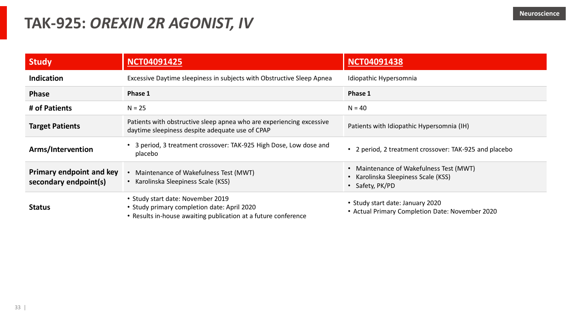#### **TAK-925:** *OREXIN 2R AGONIST, IV*

| <b>Study</b>                                             | <b>NCT04091425</b>                                                                                                                                 | <b>NCT04091438</b>                                                                                         |
|----------------------------------------------------------|----------------------------------------------------------------------------------------------------------------------------------------------------|------------------------------------------------------------------------------------------------------------|
| <b>Indication</b>                                        | Excessive Daytime sleepiness in subjects with Obstructive Sleep Apnea                                                                              | Idiopathic Hypersomnia                                                                                     |
| <b>Phase</b>                                             | Phase 1                                                                                                                                            | Phase 1                                                                                                    |
| # of Patients                                            | $N = 25$                                                                                                                                           | $N = 40$                                                                                                   |
| <b>Target Patients</b>                                   | Patients with obstructive sleep apnea who are experiencing excessive<br>daytime sleepiness despite adequate use of CPAP                            | Patients with Idiopathic Hypersomnia (IH)                                                                  |
| Arms/Intervention                                        | • 3 period, 3 treatment crossover: TAK-925 High Dose, Low dose and<br>placebo                                                                      | • 2 period, 2 treatment crossover: TAK-925 and placebo                                                     |
| <b>Primary endpoint and key</b><br>secondary endpoint(s) | Maintenance of Wakefulness Test (MWT)<br>Karolinska Sleepiness Scale (KSS)                                                                         | Maintenance of Wakefulness Test (MWT)<br>$\bullet$<br>Karolinska Sleepiness Scale (KSS)<br>• Safety, PK/PD |
| <b>Status</b>                                            | • Study start date: November 2019<br>• Study primary completion date: April 2020<br>• Results in-house awaiting publication at a future conference | • Study start date: January 2020<br>• Actual Primary Completion Date: November 2020                        |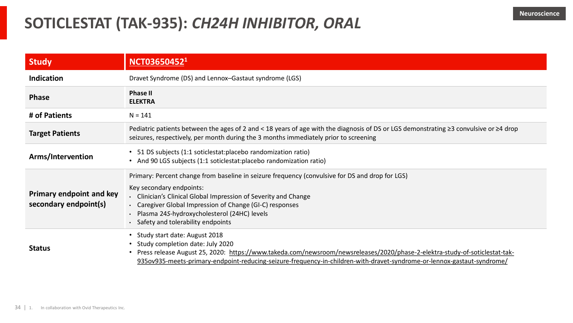### **SOTICLESTAT (TAK-935):** *CH24H INHIBITOR, ORAL*

| <b>Study</b>                                             | NCT03650452 <sup>1</sup>                                                                                                                                                                                                                                                                                                                           |
|----------------------------------------------------------|----------------------------------------------------------------------------------------------------------------------------------------------------------------------------------------------------------------------------------------------------------------------------------------------------------------------------------------------------|
| <b>Indication</b>                                        | Dravet Syndrome (DS) and Lennox-Gastaut syndrome (LGS)                                                                                                                                                                                                                                                                                             |
| <b>Phase</b>                                             | <b>Phase II</b><br><b>ELEKTRA</b>                                                                                                                                                                                                                                                                                                                  |
| # of Patients                                            | $N = 141$                                                                                                                                                                                                                                                                                                                                          |
| <b>Target Patients</b>                                   | Pediatric patients between the ages of 2 and < 18 years of age with the diagnosis of DS or LGS demonstrating ≥3 convulsive or ≥4 drop<br>seizures, respectively, per month during the 3 months immediately prior to screening                                                                                                                      |
| Arms/Intervention                                        | • 51 DS subjects (1:1 soticlestat: placebo randomization ratio)<br>• And 90 LGS subjects (1:1 soticlestat: placebo randomization ratio)                                                                                                                                                                                                            |
| <b>Primary endpoint and key</b><br>secondary endpoint(s) | Primary: Percent change from baseline in seizure frequency (convulsive for DS and drop for LGS)<br>Key secondary endpoints:<br>• Clinician's Clinical Global Impression of Severity and Change<br>• Caregiver Global Impression of Change (GI-C) responses<br>· Plasma 24S-hydroxycholesterol (24HC) levels<br>· Safety and tolerability endpoints |
| <b>Status</b>                                            | • Study start date: August 2018<br>• Study completion date: July 2020<br>• Press release August 25, 2020: https://www.takeda.com/newsroom/newsreleases/2020/phase-2-elektra-study-of-soticlestat-tak-<br>935ov935-meets-primary-endpoint-reducing-seizure-frequency-in-children-with-dravet-syndrome-or-lennox-gastaut-syndrome/                   |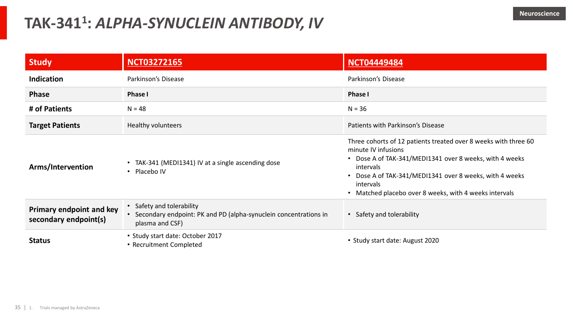### **TAK-341<sup>1</sup> :** *ALPHA-SYNUCLEIN ANTIBODY, IV*

| <b>Study</b>                                             | <b>NCT03272165</b>                                                                                                 | <b>NCT04449484</b>                                                                                                                                                                                                                                                                                        |
|----------------------------------------------------------|--------------------------------------------------------------------------------------------------------------------|-----------------------------------------------------------------------------------------------------------------------------------------------------------------------------------------------------------------------------------------------------------------------------------------------------------|
| <b>Indication</b>                                        | Parkinson's Disease                                                                                                | Parkinson's Disease                                                                                                                                                                                                                                                                                       |
| <b>Phase</b>                                             | <b>Phase I</b>                                                                                                     | <b>Phase I</b>                                                                                                                                                                                                                                                                                            |
| # of Patients                                            | $N = 48$                                                                                                           | $N = 36$                                                                                                                                                                                                                                                                                                  |
| <b>Target Patients</b>                                   | Healthy volunteers                                                                                                 | Patients with Parkinson's Disease                                                                                                                                                                                                                                                                         |
| Arms/Intervention                                        | • TAK-341 (MEDI1341) IV at a single ascending dose<br>• Placebo IV                                                 | Three cohorts of 12 patients treated over 8 weeks with three 60<br>minute IV infusions<br>• Dose A of TAK-341/MEDI1341 over 8 weeks, with 4 weeks<br>intervals<br>Dose A of TAK-341/MEDI1341 over 8 weeks, with 4 weeks<br>$\bullet$<br>intervals<br>Matched placebo over 8 weeks, with 4 weeks intervals |
| <b>Primary endpoint and key</b><br>secondary endpoint(s) | • Safety and tolerability<br>• Secondary endpoint: PK and PD (alpha-synuclein concentrations in<br>plasma and CSF) | • Safety and tolerability                                                                                                                                                                                                                                                                                 |
| <b>Status</b>                                            | • Study start date: October 2017<br>• Recruitment Completed                                                        | • Study start date: August 2020                                                                                                                                                                                                                                                                           |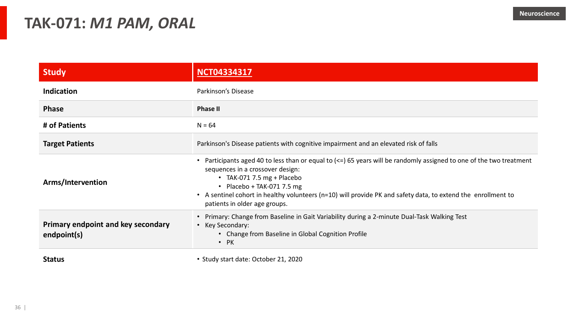#### **TAK-071:** *M1 PAM, ORAL*

| <b>Study</b>                                      | <b>NCT04334317</b>                                                                                                                                                                                                                                                                                                                                                                              |
|---------------------------------------------------|-------------------------------------------------------------------------------------------------------------------------------------------------------------------------------------------------------------------------------------------------------------------------------------------------------------------------------------------------------------------------------------------------|
| <b>Indication</b>                                 | Parkinson's Disease                                                                                                                                                                                                                                                                                                                                                                             |
| <b>Phase</b>                                      | <b>Phase II</b>                                                                                                                                                                                                                                                                                                                                                                                 |
| # of Patients                                     | $N = 64$                                                                                                                                                                                                                                                                                                                                                                                        |
| <b>Target Patients</b>                            | Parkinson's Disease patients with cognitive impairment and an elevated risk of falls                                                                                                                                                                                                                                                                                                            |
| Arms/Intervention                                 | Participants aged 40 to less than or equal to $\left( \leq \right)$ 65 years will be randomly assigned to one of the two treatment<br>sequences in a crossover design:<br>• TAK-071 7.5 mg + Placebo<br>• Placebo + TAK-071 7.5 mg<br>A sentinel cohort in healthy volunteers (n=10) will provide PK and safety data, to extend the enrollment to<br>$\bullet$<br>patients in older age groups. |
| Primary endpoint and key secondary<br>endpoint(s) | Primary: Change from Baseline in Gait Variability during a 2-minute Dual-Task Walking Test<br>Key Secondary:<br>$\bullet$<br>• Change from Baseline in Global Cognition Profile<br>$\bullet$ PK                                                                                                                                                                                                 |
|                                                   |                                                                                                                                                                                                                                                                                                                                                                                                 |

**Status** • Study start date: October 21, 2020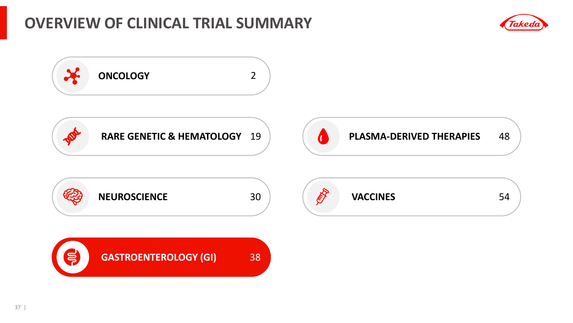#### **OVERVIEW OF CLINICAL TRIAL SUMMARY**



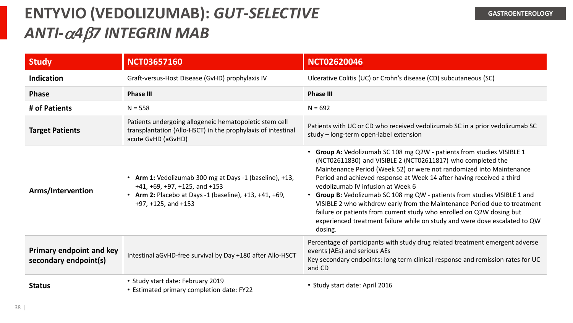# **ENTYVIO (VEDOLIZUMAB):** *GUT-SELECTIVE ANTI-*a*4*b*7 INTEGRIN MAB*

| <b>Study</b>                                             | <b>NCT03657160</b>                                                                                                                                                                | <b>NCT02620046</b>                                                                                                                                                                                                                                                                                                                                                                                                                                                                                                                                                                                                                                      |
|----------------------------------------------------------|-----------------------------------------------------------------------------------------------------------------------------------------------------------------------------------|---------------------------------------------------------------------------------------------------------------------------------------------------------------------------------------------------------------------------------------------------------------------------------------------------------------------------------------------------------------------------------------------------------------------------------------------------------------------------------------------------------------------------------------------------------------------------------------------------------------------------------------------------------|
| <b>Indication</b>                                        | Graft-versus-Host Disease (GvHD) prophylaxis IV                                                                                                                                   | Ulcerative Colitis (UC) or Crohn's disease (CD) subcutaneous (SC)                                                                                                                                                                                                                                                                                                                                                                                                                                                                                                                                                                                       |
| <b>Phase</b>                                             | <b>Phase III</b>                                                                                                                                                                  | <b>Phase III</b>                                                                                                                                                                                                                                                                                                                                                                                                                                                                                                                                                                                                                                        |
| # of Patients                                            | $N = 558$                                                                                                                                                                         | $N = 692$                                                                                                                                                                                                                                                                                                                                                                                                                                                                                                                                                                                                                                               |
| <b>Target Patients</b>                                   | Patients undergoing allogeneic hematopoietic stem cell<br>transplantation (Allo-HSCT) in the prophylaxis of intestinal<br>acute GvHD (aGvHD)                                      | Patients with UC or CD who received vedolizumab SC in a prior vedolizumab SC<br>study - long-term open-label extension                                                                                                                                                                                                                                                                                                                                                                                                                                                                                                                                  |
| Arms/Intervention                                        | • Arm 1: Vedolizumab 300 mg at Days -1 (baseline), +13,<br>$+41, +69, +97, +125,$ and $+153$<br>• Arm 2: Placebo at Days -1 (baseline), +13, +41, +69,<br>$+97, +125,$ and $+153$ | • Group A: Vedolizumab SC 108 mg Q2W - patients from studies VISIBLE 1<br>(NCT02611830) and VISIBLE 2 (NCT02611817) who completed the<br>Maintenance Period (Week 52) or were not randomized into Maintenance<br>Period and achieved response at Week 14 after having received a third<br>vedolizumab IV infusion at Week 6<br>• Group B: Vedolizumab SC 108 mg QW - patients from studies VISIBLE 1 and<br>VISIBLE 2 who withdrew early from the Maintenance Period due to treatment<br>failure or patients from current study who enrolled on Q2W dosing but<br>experienced treatment failure while on study and were dose escalated to QW<br>dosing. |
| <b>Primary endpoint and key</b><br>secondary endpoint(s) | Intestinal aGvHD-free survival by Day +180 after Allo-HSCT                                                                                                                        | Percentage of participants with study drug related treatment emergent adverse<br>events (AEs) and serious AEs<br>Key secondary endpoints: long term clinical response and remission rates for UC<br>and CD                                                                                                                                                                                                                                                                                                                                                                                                                                              |
| <b>Status</b>                                            | • Study start date: February 2019<br>• Estimated primary completion date: FY22                                                                                                    | • Study start date: April 2016                                                                                                                                                                                                                                                                                                                                                                                                                                                                                                                                                                                                                          |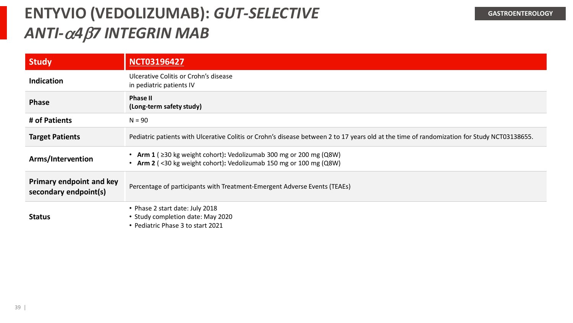# **ENTYVIO (VEDOLIZUMAB):** *GUT-SELECTIVE ANTI-*a*4*b*7 INTEGRIN MAB*

| <b>Study</b>                                             | <b>NCT03196427</b>                                                                                                                              |
|----------------------------------------------------------|-------------------------------------------------------------------------------------------------------------------------------------------------|
| <b>Indication</b>                                        | Ulcerative Colitis or Crohn's disease<br>in pediatric patients IV                                                                               |
| <b>Phase</b>                                             | <b>Phase II</b><br>(Long-term safety study)                                                                                                     |
| # of Patients                                            | $N = 90$                                                                                                                                        |
| <b>Target Patients</b>                                   | Pediatric patients with Ulcerative Colitis or Crohn's disease between 2 to 17 years old at the time of randomization for Study NCT03138655.     |
| Arms/Intervention                                        | • Arm 1 ( $\geq$ 30 kg weight cohort): Vedolizumab 300 mg or 200 mg (Q8W)<br>• Arm 2 (<30 kg weight cohort): Vedolizumab 150 mg or 100 mg (Q8W) |
| <b>Primary endpoint and key</b><br>secondary endpoint(s) | Percentage of participants with Treatment-Emergent Adverse Events (TEAEs)                                                                       |
| <b>Status</b>                                            | • Phase 2 start date: July 2018<br>• Study completion date: May 2020<br>• Pediatric Phase 3 to start 2021                                       |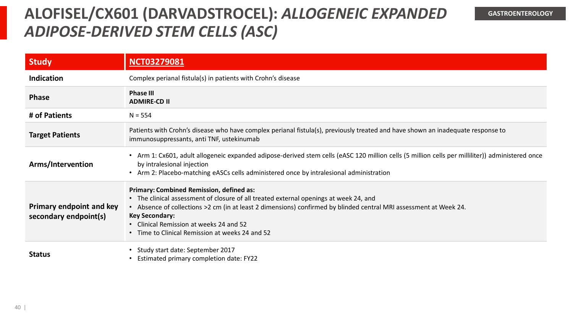### **ALOFISEL/CX601 (DARVADSTROCEL):** *ALLOGENEIC EXPANDED ADIPOSE-DERIVED STEM CELLS (ASC)*

| <b>Study</b>                                             | <b>NCT03279081</b>                                                                                                                                                                                                                                                                                                                                                                   |
|----------------------------------------------------------|--------------------------------------------------------------------------------------------------------------------------------------------------------------------------------------------------------------------------------------------------------------------------------------------------------------------------------------------------------------------------------------|
| <b>Indication</b>                                        | Complex perianal fistula(s) in patients with Crohn's disease                                                                                                                                                                                                                                                                                                                         |
| <b>Phase</b>                                             | <b>Phase III</b><br><b>ADMIRE-CD II</b>                                                                                                                                                                                                                                                                                                                                              |
| # of Patients                                            | $N = 554$                                                                                                                                                                                                                                                                                                                                                                            |
| <b>Target Patients</b>                                   | Patients with Crohn's disease who have complex perianal fistula(s), previously treated and have shown an inadequate response to<br>immunosuppressants, anti TNF, ustekinumab                                                                                                                                                                                                         |
| Arms/Intervention                                        | • Arm 1: Cx601, adult allogeneic expanded adipose-derived stem cells (eASC 120 million cells (5 million cells per milliliter)) administered once<br>by intralesional injection<br>• Arm 2: Placebo-matching eASCs cells administered once by intralesional administration                                                                                                            |
| <b>Primary endpoint and key</b><br>secondary endpoint(s) | <b>Primary: Combined Remission, defined as:</b><br>• The clinical assessment of closure of all treated external openings at week 24, and<br>• Absence of collections >2 cm (in at least 2 dimensions) confirmed by blinded central MRI assessment at Week 24.<br><b>Key Secondary:</b><br>• Clinical Remission at weeks 24 and 52<br>• Time to Clinical Remission at weeks 24 and 52 |
| <b>Status</b>                                            | • Study start date: September 2017<br>Estimated primary completion date: FY22                                                                                                                                                                                                                                                                                                        |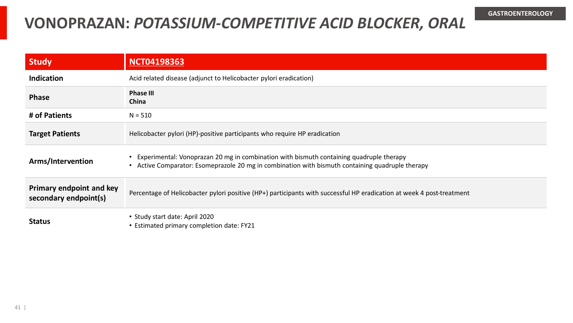### **VONOPRAZAN:** *POTASSIUM-COMPETITIVE ACID BLOCKER, ORAL*

| <b>Study</b>                                             | <b>NCT04198363</b>                                                                                                                                                                            |
|----------------------------------------------------------|-----------------------------------------------------------------------------------------------------------------------------------------------------------------------------------------------|
| <b>Indication</b>                                        | Acid related disease (adjunct to Helicobacter pylori eradication)                                                                                                                             |
| <b>Phase</b>                                             | <b>Phase III</b><br>China                                                                                                                                                                     |
| # of Patients                                            | $N = 510$                                                                                                                                                                                     |
| <b>Target Patients</b>                                   | Helicobacter pylori (HP)-positive participants who require HP eradication                                                                                                                     |
| Arms/Intervention                                        | • Experimental: Vonoprazan 20 mg in combination with bismuth containing quadruple therapy<br>• Active Comparator: Esomeprazole 20 mg in combination with bismuth containing quadruple therapy |
| <b>Primary endpoint and key</b><br>secondary endpoint(s) | Percentage of Helicobacter pylori positive (HP+) participants with successful HP eradication at week 4 post-treatment                                                                         |
| <b>Status</b>                                            | • Study start date: April 2020<br>• Estimated primary completion date: FY21                                                                                                                   |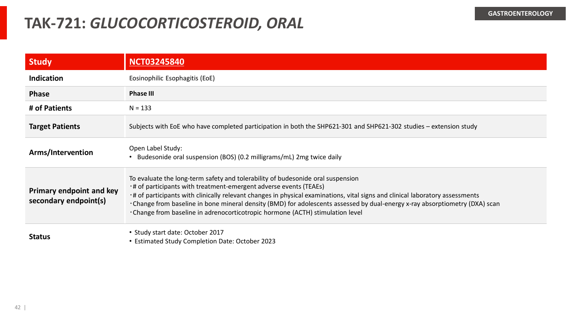#### **TAK-721:** *GLUCOCORTICOSTEROID, ORAL*

| <b>Study</b>                                             | <b>NCT03245840</b>                                                                                                                                                                                                                                                                                                                                                                                                                                                                                    |
|----------------------------------------------------------|-------------------------------------------------------------------------------------------------------------------------------------------------------------------------------------------------------------------------------------------------------------------------------------------------------------------------------------------------------------------------------------------------------------------------------------------------------------------------------------------------------|
| <b>Indication</b>                                        | Eosinophilic Esophagitis (EoE)                                                                                                                                                                                                                                                                                                                                                                                                                                                                        |
| <b>Phase</b>                                             | <b>Phase III</b>                                                                                                                                                                                                                                                                                                                                                                                                                                                                                      |
| # of Patients                                            | $N = 133$                                                                                                                                                                                                                                                                                                                                                                                                                                                                                             |
| <b>Target Patients</b>                                   | Subjects with EoE who have completed participation in both the SHP621-301 and SHP621-302 studies – extension study                                                                                                                                                                                                                                                                                                                                                                                    |
| Arms/Intervention                                        | Open Label Study:<br>Budesonide oral suspension (BOS) (0.2 milligrams/mL) 2mg twice daily                                                                                                                                                                                                                                                                                                                                                                                                             |
| <b>Primary endpoint and key</b><br>secondary endpoint(s) | To evaluate the long-term safety and tolerability of budesonide oral suspension<br>t# of participants with treatment-emergent adverse events (TEAEs)<br>t of participants with clinically relevant changes in physical examinations, vital signs and clinical laboratory assessments<br>. Change from baseline in bone mineral density (BMD) for adolescents assessed by dual-energy x-ray absorptiometry (DXA) scan<br>·Change from baseline in adrenocorticotropic hormone (ACTH) stimulation level |
| <b>Status</b>                                            | • Study start date: October 2017<br>• Estimated Study Completion Date: October 2023                                                                                                                                                                                                                                                                                                                                                                                                                   |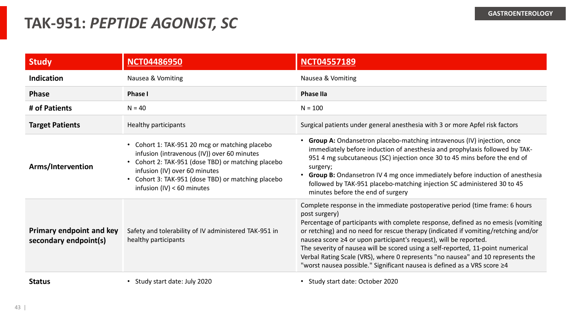#### **TAK-951:** *PEPTIDE AGONIST, SC*

| <b>Study</b>                                             | <b>NCT04486950</b>                                                                                                                                                                                                                                                                  | <b>NCT04557189</b>                                                                                                                                                                                                                                                                                                                                                                                                                                                                                                                                                                              |
|----------------------------------------------------------|-------------------------------------------------------------------------------------------------------------------------------------------------------------------------------------------------------------------------------------------------------------------------------------|-------------------------------------------------------------------------------------------------------------------------------------------------------------------------------------------------------------------------------------------------------------------------------------------------------------------------------------------------------------------------------------------------------------------------------------------------------------------------------------------------------------------------------------------------------------------------------------------------|
| <b>Indication</b>                                        | Nausea & Vomiting                                                                                                                                                                                                                                                                   | Nausea & Vomiting                                                                                                                                                                                                                                                                                                                                                                                                                                                                                                                                                                               |
| <b>Phase</b>                                             | <b>Phase I</b>                                                                                                                                                                                                                                                                      | <b>Phase IIa</b>                                                                                                                                                                                                                                                                                                                                                                                                                                                                                                                                                                                |
| # of Patients                                            | $N = 40$                                                                                                                                                                                                                                                                            | $N = 100$                                                                                                                                                                                                                                                                                                                                                                                                                                                                                                                                                                                       |
| <b>Target Patients</b>                                   | Healthy participants                                                                                                                                                                                                                                                                | Surgical patients under general anesthesia with 3 or more Apfel risk factors                                                                                                                                                                                                                                                                                                                                                                                                                                                                                                                    |
| Arms/Intervention                                        | • Cohort 1: TAK-951 20 mcg or matching placebo<br>infusion (intravenous (IV)) over 60 minutes<br>Cohort 2: TAK-951 (dose TBD) or matching placebo<br>infusion (IV) over 60 minutes<br>Cohort 3: TAK-951 (dose TBD) or matching placebo<br>$\bullet$<br>infusion $(IV) < 60$ minutes | • Group A: Ondansetron placebo-matching intravenous (IV) injection, once<br>immediately before induction of anesthesia and prophylaxis followed by TAK-<br>951 4 mg subcutaneous (SC) injection once 30 to 45 mins before the end of<br>surgery;<br>• Group B: Ondansetron IV 4 mg once immediately before induction of anesthesia<br>followed by TAK-951 placebo-matching injection SC administered 30 to 45<br>minutes before the end of surgery                                                                                                                                              |
| <b>Primary endpoint and key</b><br>secondary endpoint(s) | Safety and tolerability of IV administered TAK-951 in<br>healthy participants                                                                                                                                                                                                       | Complete response in the immediate postoperative period (time frame: 6 hours<br>post surgery)<br>Percentage of participants with complete response, defined as no emesis (vomiting<br>or retching) and no need for rescue therapy (indicated if vomiting/retching and/or<br>nausea score ≥4 or upon participant's request), will be reported.<br>The severity of nausea will be scored using a self-reported, 11-point numerical<br>Verbal Rating Scale (VRS), where 0 represents "no nausea" and 10 represents the<br>"worst nausea possible." Significant nausea is defined as a VRS score ≥4 |
| <b>Status</b>                                            | • Study start date: July 2020                                                                                                                                                                                                                                                       | • Study start date: October 2020                                                                                                                                                                                                                                                                                                                                                                                                                                                                                                                                                                |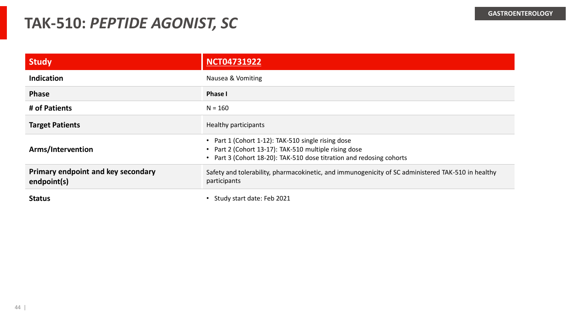#### **TAK-510:** *PEPTIDE AGONIST, SC*

| <b>Study</b>                                      | <b>NCT04731922</b>                                                                                                                                                            |
|---------------------------------------------------|-------------------------------------------------------------------------------------------------------------------------------------------------------------------------------|
| <b>Indication</b>                                 | Nausea & Vomiting                                                                                                                                                             |
| <b>Phase</b>                                      | Phase I                                                                                                                                                                       |
| # of Patients                                     | $N = 160$                                                                                                                                                                     |
| <b>Target Patients</b>                            | Healthy participants                                                                                                                                                          |
| Arms/Intervention                                 | Part 1 (Cohort 1-12): TAK-510 single rising dose<br>Part 2 (Cohort 13-17): TAK-510 multiple rising dose<br>Part 3 (Cohort 18-20): TAK-510 dose titration and redosing cohorts |
| Primary endpoint and key secondary<br>endpoint(s) | Safety and tolerability, pharmacokinetic, and immunogenicity of SC administered TAK-510 in healthy<br>participants                                                            |
| <b>Status</b>                                     | Study start date: Feb 2021                                                                                                                                                    |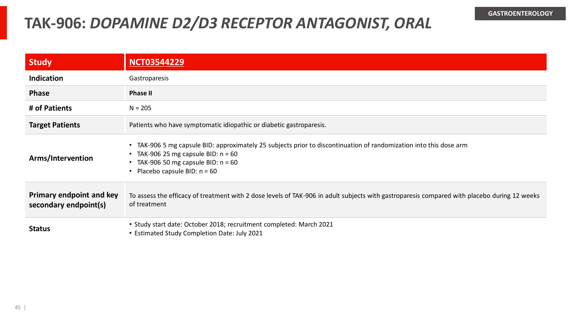### **TAK-906:** *DOPAMINE D2/D3 RECEPTOR ANTAGONIST, ORAL*

| Study                                                    | <b>NCT03544229</b>                                                                                                                                                                                                                      |
|----------------------------------------------------------|-----------------------------------------------------------------------------------------------------------------------------------------------------------------------------------------------------------------------------------------|
| <b>Indication</b>                                        | Gastroparesis                                                                                                                                                                                                                           |
| <b>Phase</b>                                             | <b>Phase II</b>                                                                                                                                                                                                                         |
| # of Patients                                            | $N = 205$                                                                                                                                                                                                                               |
| <b>Target Patients</b>                                   | Patients who have symptomatic idiopathic or diabetic gastroparesis.                                                                                                                                                                     |
| Arms/Intervention                                        | • TAK-906 5 mg capsule BID: approximately 25 subjects prior to discontinuation of randomization into this dose arm<br>• TAK-906 25 mg capsule BID: $n = 60$<br>• TAK-906 50 mg capsule BID: $n = 60$<br>• Placebo capsule BID: $n = 60$ |
| <b>Primary endpoint and key</b><br>secondary endpoint(s) | To assess the efficacy of treatment with 2 dose levels of TAK-906 in adult subjects with gastroparesis compared with placebo during 12 weeks<br>of treatment                                                                            |
| <b>Status</b>                                            | • Study start date: October 2018; recruitment completed: March 2021<br>• Estimated Study Completion Date: July 2021                                                                                                                     |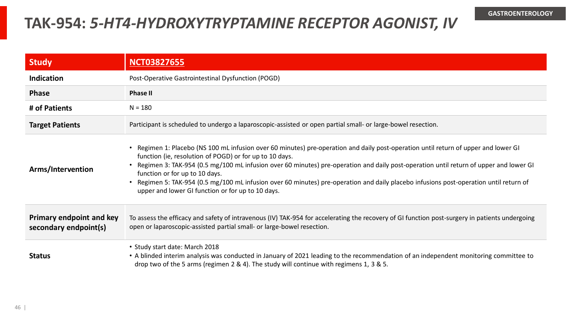#### **TAK-954:** *5-HT4-HYDROXYTRYPTAMINE RECEPTOR AGONIST, IV*

| <b>Study</b>                                      | <b>NCT03827655</b>                                                                                                                                                                                                                                                                                                                                                                                                                                                                                                                                                     |
|---------------------------------------------------|------------------------------------------------------------------------------------------------------------------------------------------------------------------------------------------------------------------------------------------------------------------------------------------------------------------------------------------------------------------------------------------------------------------------------------------------------------------------------------------------------------------------------------------------------------------------|
| <b>Indication</b>                                 | Post-Operative Gastrointestinal Dysfunction (POGD)                                                                                                                                                                                                                                                                                                                                                                                                                                                                                                                     |
| <b>Phase</b>                                      | <b>Phase II</b>                                                                                                                                                                                                                                                                                                                                                                                                                                                                                                                                                        |
| # of Patients                                     | $N = 180$                                                                                                                                                                                                                                                                                                                                                                                                                                                                                                                                                              |
| <b>Target Patients</b>                            | Participant is scheduled to undergo a laparoscopic-assisted or open partial small- or large-bowel resection.                                                                                                                                                                                                                                                                                                                                                                                                                                                           |
| Arms/Intervention                                 | • Regimen 1: Placebo (NS 100 mL infusion over 60 minutes) pre-operation and daily post-operation until return of upper and lower GI<br>function (ie, resolution of POGD) or for up to 10 days.<br>Regimen 3: TAK-954 (0.5 mg/100 mL infusion over 60 minutes) pre-operation and daily post-operation until return of upper and lower GI<br>function or for up to 10 days.<br>Regimen 5: TAK-954 (0.5 mg/100 mL infusion over 60 minutes) pre-operation and daily placebo infusions post-operation until return of<br>upper and lower GI function or for up to 10 days. |
| Primary endpoint and key<br>secondary endpoint(s) | To assess the efficacy and safety of intravenous (IV) TAK-954 for accelerating the recovery of GI function post-surgery in patients undergoing<br>open or laparoscopic-assisted partial small- or large-bowel resection.                                                                                                                                                                                                                                                                                                                                               |
| <b>Status</b>                                     | • Study start date: March 2018<br>• A blinded interim analysis was conducted in January of 2021 leading to the recommendation of an independent monitoring committee to<br>drop two of the 5 arms (regimen 2 & 4). The study will continue with regimens 1, 3 & 5.                                                                                                                                                                                                                                                                                                     |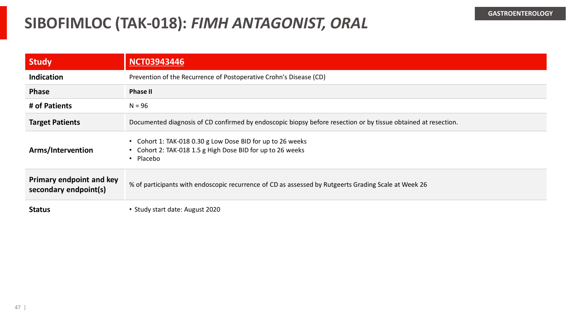#### **SIBOFIMLOC (TAK-018):** *FIMH ANTAGONIST, ORAL*

| <b>Study</b>                                             | <b>NCT03943446</b>                                                                                                                    |
|----------------------------------------------------------|---------------------------------------------------------------------------------------------------------------------------------------|
| <b>Indication</b>                                        | Prevention of the Recurrence of Postoperative Crohn's Disease (CD)                                                                    |
| <b>Phase</b>                                             | <b>Phase II</b>                                                                                                                       |
| # of Patients                                            | $N = 96$                                                                                                                              |
| <b>Target Patients</b>                                   | Documented diagnosis of CD confirmed by endoscopic biopsy before resection or by tissue obtained at resection.                        |
| Arms/Intervention                                        | • Cohort 1: TAK-018 0.30 g Low Dose BID for up to 26 weeks<br>• Cohort 2: TAK-018 1.5 g High Dose BID for up to 26 weeks<br>• Placebo |
| <b>Primary endpoint and key</b><br>secondary endpoint(s) | % of participants with endoscopic recurrence of CD as assessed by Rutgeerts Grading Scale at Week 26                                  |
| <b>Status</b>                                            | • Study start date: August 2020                                                                                                       |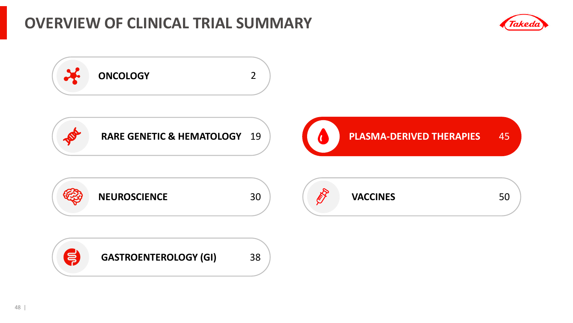### **OVERVIEW OF CLINICAL TRIAL SUMMARY**



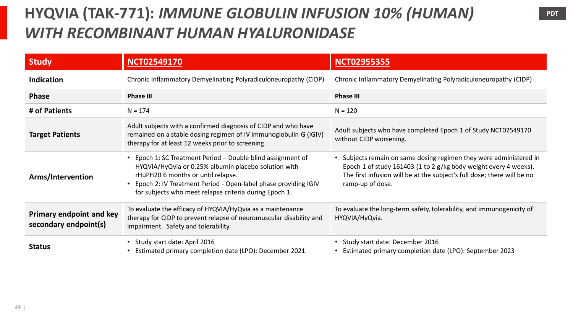# **HYQVIA (TAK-771):** *IMMUNE GLOBULIN INFUSION 10% (HUMAN) WITH RECOMBINANT HUMAN HYALURONIDASE*

| <b>Study</b>                                             | <b>NCT02549170</b>                                                                                                                                                                                                                                                                  | <b>NCT02955355</b>                                                                                                                                                                                                                  |
|----------------------------------------------------------|-------------------------------------------------------------------------------------------------------------------------------------------------------------------------------------------------------------------------------------------------------------------------------------|-------------------------------------------------------------------------------------------------------------------------------------------------------------------------------------------------------------------------------------|
| <b>Indication</b>                                        | Chronic Inflammatory Demyelinating Polyradiculoneuropathy (CIDP)                                                                                                                                                                                                                    | Chronic Inflammatory Demyelinating Polyradiculoneuropathy (CIDP)                                                                                                                                                                    |
| <b>Phase</b>                                             | <b>Phase III</b>                                                                                                                                                                                                                                                                    | <b>Phase III</b>                                                                                                                                                                                                                    |
| # of Patients                                            | $N = 174$                                                                                                                                                                                                                                                                           | $N = 120$                                                                                                                                                                                                                           |
| <b>Target Patients</b>                                   | Adult subjects with a confirmed diagnosis of CIDP and who have<br>remained on a stable dosing regimen of IV immunoglobulin G (IGIV)<br>therapy for at least 12 weeks prior to screening.                                                                                            | Adult subjects who have completed Epoch 1 of Study NCT02549170<br>without CIDP worsening.                                                                                                                                           |
| Arms/Intervention                                        | Epoch 1: SC Treatment Period - Double blind assignment of<br>HYQVIA/HyQvia or 0.25% albumin placebo solution with<br>rHuPH20 6 months or until relapse.<br>Epoch 2: IV Treatment Period - Open-label phase providing IGIV<br>for subjects who meet relapse criteria during Epoch 1. | Subjects remain on same dosing regimen they were administered in<br>Epoch 1 of study 161403 (1 to 2 g/kg body weight every 4 weeks).<br>The first infusion will be at the subject's full dose; there will be no<br>ramp-up of dose. |
| <b>Primary endpoint and key</b><br>secondary endpoint(s) | To evaluate the efficacy of HYQVIA/HyQvia as a maintenance<br>therapy for CIDP to prevent relapse of neuromuscular disability and<br>impairment. Safety and tolerability.                                                                                                           | To evaluate the long-term safety, tolerability, and immunogenicity of<br>HYQVIA/HyQvia.                                                                                                                                             |
| <b>Status</b>                                            | Study start date: April 2016<br>Estimated primary completion date (LPO): December 2021                                                                                                                                                                                              | Study start date: December 2016<br>Estimated primary completion date (LPO): September 2023                                                                                                                                          |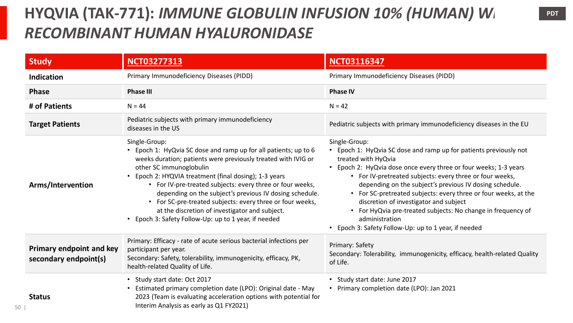# **HYQVIA (TAK-771):** *IMMUNE GLOBULIN INFUSION 10% (HUMAN) Wi RECOMBINANT HUMAN HYALURONIDASE*

| <b>Study</b>                                             | <b>NCT03277313</b>                                                                                                                                                                                                                                                                                                                                                                                                                                                                                                                 | <b>NCT03116347</b>                                                                                                                                                                                                                                                                                                                                                                                                                                                                                                                                      |
|----------------------------------------------------------|------------------------------------------------------------------------------------------------------------------------------------------------------------------------------------------------------------------------------------------------------------------------------------------------------------------------------------------------------------------------------------------------------------------------------------------------------------------------------------------------------------------------------------|---------------------------------------------------------------------------------------------------------------------------------------------------------------------------------------------------------------------------------------------------------------------------------------------------------------------------------------------------------------------------------------------------------------------------------------------------------------------------------------------------------------------------------------------------------|
| Indication                                               | Primary Immunodeficiency Diseases (PIDD)                                                                                                                                                                                                                                                                                                                                                                                                                                                                                           | Primary Immunodeficiency Diseases (PIDD)                                                                                                                                                                                                                                                                                                                                                                                                                                                                                                                |
| <b>Phase</b>                                             | <b>Phase III</b>                                                                                                                                                                                                                                                                                                                                                                                                                                                                                                                   | <b>Phase IV</b>                                                                                                                                                                                                                                                                                                                                                                                                                                                                                                                                         |
| # of Patients                                            | $N = 44$                                                                                                                                                                                                                                                                                                                                                                                                                                                                                                                           | $N = 42$                                                                                                                                                                                                                                                                                                                                                                                                                                                                                                                                                |
| <b>Target Patients</b>                                   | Pediatric subjects with primary immunodeficiency<br>diseases in the US                                                                                                                                                                                                                                                                                                                                                                                                                                                             | Pediatric subjects with primary immunodeficiency diseases in the EU                                                                                                                                                                                                                                                                                                                                                                                                                                                                                     |
| Arms/Intervention                                        | Single-Group:<br>• Epoch 1: HyQvia SC dose and ramp up for all patients; up to 6<br>weeks duration; patients were previously treated with IVIG or<br>other SC immunoglobulin<br>• Epoch 2: HYQVIA treatment (final dosing); 1-3 years<br>• For IV-pre-treated subjects: every three or four weeks,<br>depending on the subject's previous IV dosing schedule.<br>For SC-pre-treated subjects: every three or four weeks,<br>at the discretion of investigator and subject.<br>• Epoch 3: Safety Follow-Up: up to 1 year, if needed | Single-Group:<br>Epoch 1: HyQvia SC dose and ramp up for patients previously not<br>treated with HyQvia<br>Epoch 2: HyQvia dose once every three or four weeks; 1-3 years<br>• For IV-pretreated subjects: every three or four weeks,<br>depending on the subject's previous IV dosing schedule.<br>• For SC-pretreated subjects: every three or four weeks, at the<br>discretion of investigator and subject<br>• For HyQvia pre-treated subjects: No change in frequency of<br>administration<br>• Epoch 3: Safety Follow-Up: up to 1 year, if needed |
| <b>Primary endpoint and key</b><br>secondary endpoint(s) | Primary: Efficacy - rate of acute serious bacterial infections per<br>participant per year.<br>Secondary: Safety, tolerability, immunogenicity, efficacy, PK,<br>health-related Quality of Life.                                                                                                                                                                                                                                                                                                                                   | Primary: Safety<br>Secondary: Tolerability, immunogenicity, efficacy, health-related Quality<br>of Life.                                                                                                                                                                                                                                                                                                                                                                                                                                                |
| <b>Status</b>                                            | • Study start date: Oct 2017<br>Estimated primary completion date (LPO): Original date - May<br>2023 (Team is evaluating acceleration options with potential for<br>Interim Analysis as early as Q1 FY2021)                                                                                                                                                                                                                                                                                                                        | • Study start date: June 2017<br>• Primary completion date (LPO): Jan 2021                                                                                                                                                                                                                                                                                                                                                                                                                                                                              |

50 |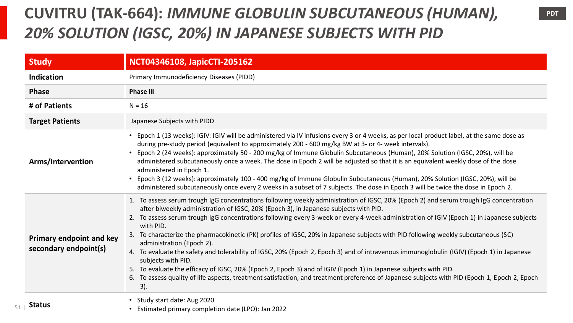# **CUVITRU (TAK-664):** *IMMUNE GLOBULIN SUBCUTANEOUS (HUMAN), 20% SOLUTION (IGSC, 20%) IN JAPANESE SUBJECTS WITH PID*

| <b>Study</b>                                             | <b>NCT04346108, JapicCTI-205162</b>                                                                                                                                                                                                                                                                                                                                                                                                                                                                                                                                                                                                                                                                                                                                                                                                                                                                                                                                                                        |
|----------------------------------------------------------|------------------------------------------------------------------------------------------------------------------------------------------------------------------------------------------------------------------------------------------------------------------------------------------------------------------------------------------------------------------------------------------------------------------------------------------------------------------------------------------------------------------------------------------------------------------------------------------------------------------------------------------------------------------------------------------------------------------------------------------------------------------------------------------------------------------------------------------------------------------------------------------------------------------------------------------------------------------------------------------------------------|
| Indication                                               | Primary Immunodeficiency Diseases (PIDD)                                                                                                                                                                                                                                                                                                                                                                                                                                                                                                                                                                                                                                                                                                                                                                                                                                                                                                                                                                   |
| <b>Phase</b>                                             | <b>Phase III</b>                                                                                                                                                                                                                                                                                                                                                                                                                                                                                                                                                                                                                                                                                                                                                                                                                                                                                                                                                                                           |
| # of Patients                                            | $N = 16$                                                                                                                                                                                                                                                                                                                                                                                                                                                                                                                                                                                                                                                                                                                                                                                                                                                                                                                                                                                                   |
| <b>Target Patients</b>                                   | Japanese Subjects with PIDD                                                                                                                                                                                                                                                                                                                                                                                                                                                                                                                                                                                                                                                                                                                                                                                                                                                                                                                                                                                |
| Arms/Intervention                                        | • Epoch 1 (13 weeks): IGIV: IGIV will be administered via IV infusions every 3 or 4 weeks, as per local product label, at the same dose as<br>during pre-study period (equivalent to approximately 200 - 600 mg/kg BW at 3- or 4- week intervals).<br>Epoch 2 (24 weeks): approximately 50 - 200 mg/kg of Immune Globulin Subcutaneous (Human), 20% Solution (IGSC, 20%), will be<br>administered subcutaneously once a week. The dose in Epoch 2 will be adjusted so that it is an equivalent weekly dose of the dose<br>administered in Epoch 1.<br>Epoch 3 (12 weeks): approximately 100 - 400 mg/kg of Immune Globulin Subcutaneous (Human), 20% Solution (IGSC, 20%), will be<br>administered subcutaneously once every 2 weeks in a subset of 7 subjects. The dose in Epoch 3 will be twice the dose in Epoch 2.                                                                                                                                                                                     |
| <b>Primary endpoint and key</b><br>secondary endpoint(s) | 1. To assess serum trough IgG concentrations following weekly administration of IGSC, 20% (Epoch 2) and serum trough IgG concentration<br>after biweekly administration of IGSC, 20% (Epoch 3), in Japanese subjects with PID.<br>2. To assess serum trough IgG concentrations following every 3-week or every 4-week administration of IGIV (Epoch 1) in Japanese subjects<br>with PID.<br>3. To characterize the pharmacokinetic (PK) profiles of IGSC, 20% in Japanese subjects with PID following weekly subcutaneous (SC)<br>administration (Epoch 2).<br>4. To evaluate the safety and tolerability of IGSC, 20% (Epoch 2, Epoch 3) and of intravenous immunoglobulin (IGIV) (Epoch 1) in Japanese<br>subjects with PID.<br>5. To evaluate the efficacy of IGSC, 20% (Epoch 2, Epoch 3) and of IGIV (Epoch 1) in Japanese subjects with PID.<br>6. To assess quality of life aspects, treatment satisfaction, and treatment preference of Japanese subjects with PID (Epoch 1, Epoch 2, Epoch<br>3). |
| <b>Status</b><br>51                                      | Study start date: Aug 2020<br>Estimated primary completion date (LPO): Jan 2022                                                                                                                                                                                                                                                                                                                                                                                                                                                                                                                                                                                                                                                                                                                                                                                                                                                                                                                            |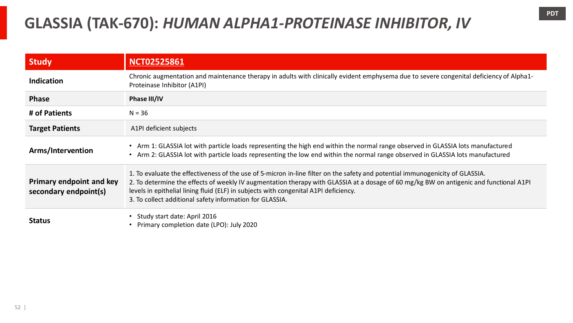### **GLASSIA (TAK-670):** *HUMAN ALPHA1-PROTEINASE INHIBITOR, IV*

| Study                                                    | <b>NCT02525861</b>                                                                                                                                                                                                                                                                                                                                                                                                          |
|----------------------------------------------------------|-----------------------------------------------------------------------------------------------------------------------------------------------------------------------------------------------------------------------------------------------------------------------------------------------------------------------------------------------------------------------------------------------------------------------------|
| <b>Indication</b>                                        | Chronic augmentation and maintenance therapy in adults with clinically evident emphysema due to severe congenital deficiency of Alpha1-<br>Proteinase Inhibitor (A1PI)                                                                                                                                                                                                                                                      |
| <b>Phase</b>                                             | Phase III/IV                                                                                                                                                                                                                                                                                                                                                                                                                |
| # of Patients                                            | $N = 36$                                                                                                                                                                                                                                                                                                                                                                                                                    |
| <b>Target Patients</b>                                   | A1PI deficient subjects                                                                                                                                                                                                                                                                                                                                                                                                     |
| Arms/Intervention                                        | • Arm 1: GLASSIA lot with particle loads representing the high end within the normal range observed in GLASSIA lots manufactured<br>• Arm 2: GLASSIA lot with particle loads representing the low end within the normal range observed in GLASSIA lots manufactured                                                                                                                                                         |
| <b>Primary endpoint and key</b><br>secondary endpoint(s) | 1. To evaluate the effectiveness of the use of 5-micron in-line filter on the safety and potential immunogenicity of GLASSIA.<br>2. To determine the effects of weekly IV augmentation therapy with GLASSIA at a dosage of 60 mg/kg BW on antigenic and functional A1PI<br>levels in epithelial lining fluid (ELF) in subjects with congenital A1PI deficiency.<br>3. To collect additional safety information for GLASSIA. |
| <b>Status</b>                                            | Study start date: April 2016<br>Primary completion date (LPO): July 2020                                                                                                                                                                                                                                                                                                                                                    |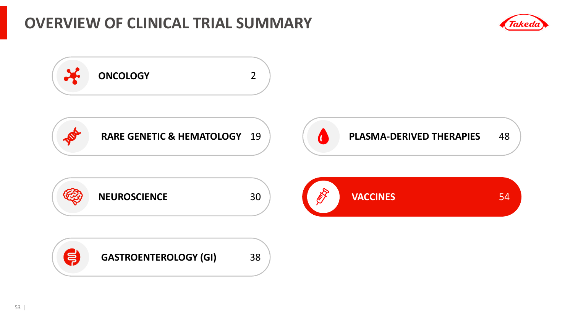### **OVERVIEW OF CLINICAL TRIAL SUMMARY**



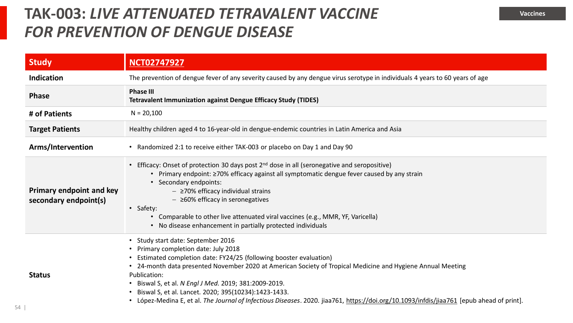#### **TAK-003: LIVE ATTENUATED TETRAVALENT VACCINE** *FOR PREVENTION OF DENGUE DISEASE*

| <b>Study</b>                                             | <b>NCT02747927</b>                                                                                                                                                                                                                                                                                                                                                                                                                                                                                                                       |
|----------------------------------------------------------|------------------------------------------------------------------------------------------------------------------------------------------------------------------------------------------------------------------------------------------------------------------------------------------------------------------------------------------------------------------------------------------------------------------------------------------------------------------------------------------------------------------------------------------|
| <b>Indication</b>                                        | The prevention of dengue fever of any severity caused by any dengue virus serotype in individuals 4 years to 60 years of age                                                                                                                                                                                                                                                                                                                                                                                                             |
| <b>Phase</b>                                             | <b>Phase III</b><br><b>Tetravalent Immunization against Dengue Efficacy Study (TIDES)</b>                                                                                                                                                                                                                                                                                                                                                                                                                                                |
| # of Patients                                            | $N = 20,100$                                                                                                                                                                                                                                                                                                                                                                                                                                                                                                                             |
| <b>Target Patients</b>                                   | Healthy children aged 4 to 16-year-old in dengue-endemic countries in Latin America and Asia                                                                                                                                                                                                                                                                                                                                                                                                                                             |
| Arms/Intervention                                        | • Randomized 2:1 to receive either TAK-003 or placebo on Day 1 and Day 90                                                                                                                                                                                                                                                                                                                                                                                                                                                                |
| <b>Primary endpoint and key</b><br>secondary endpoint(s) | Efficacy: Onset of protection 30 days post 2 <sup>nd</sup> dose in all (seronegative and seropositive)<br>• Primary endpoint: 270% efficacy against all symptomatic dengue fever caused by any strain<br>• Secondary endpoints:<br>$ \geq$ 70% efficacy individual strains<br>$ \geq$ 60% efficacy in seronegatives<br>• Safety:<br>• Comparable to other live attenuated viral vaccines (e.g., MMR, YF, Varicella)<br>• No disease enhancement in partially protected individuals                                                       |
| <b>Status</b>                                            | • Study start date: September 2016<br>• Primary completion date: July 2018<br>Estimated completion date: FY24/25 (following booster evaluation)<br>• 24-month data presented November 2020 at American Society of Tropical Medicine and Hygiene Annual Meeting<br>Publication:<br>Biswal S, et al. N Engl J Med. 2019; 381:2009-2019.<br>Biswal S, et al. Lancet. 2020; 395(10234):1423-1433.<br>López-Medina E, et al. The Journal of Infectious Diseases. 2020. jiaa761, https://doi.org/10.1093/infdis/jiaa761 [epub ahead of print]. |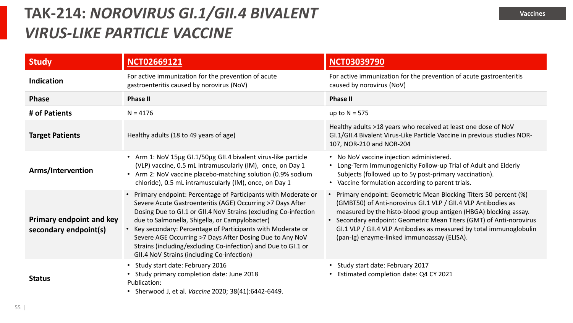### **TAK-214:** *NOROVIRUS GI.1/GII.4 BIVALENT VIRUS-LIKE PARTICLE VACCINE*

| <b>Study</b>                                             | <b>NCT02669121</b>                                                                                                                                                                                                                                                                                                                                                                                                                                                                            | <b>NCT03039790</b>                                                                                                                                                                                                                                                                                                                                                                                |
|----------------------------------------------------------|-----------------------------------------------------------------------------------------------------------------------------------------------------------------------------------------------------------------------------------------------------------------------------------------------------------------------------------------------------------------------------------------------------------------------------------------------------------------------------------------------|---------------------------------------------------------------------------------------------------------------------------------------------------------------------------------------------------------------------------------------------------------------------------------------------------------------------------------------------------------------------------------------------------|
| <b>Indication</b>                                        | For active immunization for the prevention of acute<br>gastroenteritis caused by norovirus (NoV)                                                                                                                                                                                                                                                                                                                                                                                              | For active immunization for the prevention of acute gastroenteritis<br>caused by norovirus (NoV)                                                                                                                                                                                                                                                                                                  |
| <b>Phase</b>                                             | <b>Phase II</b>                                                                                                                                                                                                                                                                                                                                                                                                                                                                               | <b>Phase II</b>                                                                                                                                                                                                                                                                                                                                                                                   |
| # of Patients                                            | $N = 4176$                                                                                                                                                                                                                                                                                                                                                                                                                                                                                    | up to $N = 575$                                                                                                                                                                                                                                                                                                                                                                                   |
| <b>Target Patients</b>                                   | Healthy adults (18 to 49 years of age)                                                                                                                                                                                                                                                                                                                                                                                                                                                        | Healthy adults >18 years who received at least one dose of NoV<br>GI.1/GII.4 Bivalent Virus-Like Particle Vaccine in previous studies NOR-<br>107, NOR-210 and NOR-204                                                                                                                                                                                                                            |
| Arms/Intervention                                        | • Arm 1: NoV 15µg GI.1/50µg GII.4 bivalent virus-like particle<br>(VLP) vaccine, 0.5 mL intramuscularly (IM), once, on Day 1<br>• Arm 2: NoV vaccine placebo-matching solution (0.9% sodium<br>chloride), 0.5 mL intramuscularly (IM), once, on Day 1                                                                                                                                                                                                                                         | • No NoV vaccine injection administered.<br>Long-Term Immunogenicity Follow-up Trial of Adult and Elderly<br>Subjects (followed up to 5y post-primary vaccination).<br>• Vaccine formulation according to parent trials.                                                                                                                                                                          |
| <b>Primary endpoint and key</b><br>secondary endpoint(s) | • Primary endpoint: Percentage of Participants with Moderate or<br>Severe Acute Gastroenteritis (AGE) Occurring >7 Days After<br>Dosing Due to GI.1 or GII.4 NoV Strains (excluding Co-infection<br>due to Salmonella, Shigella, or Campylobacter)<br>• Key secondary: Percentage of Participants with Moderate or<br>Severe AGE Occurring >7 Days After Dosing Due to Any NoV<br>Strains (including/excluding Co-infection) and Due to GI.1 or<br>GII.4 NoV Strains (including Co-infection) | Primary endpoint: Geometric Mean Blocking Titers 50 percent (%)<br>(GMBT50) of Anti-norovirus GI.1 VLP / GII.4 VLP Antibodies as<br>measured by the histo-blood group antigen (HBGA) blocking assay.<br>• Secondary endpoint: Geometric Mean Titers (GMT) of Anti-norovirus<br>GI.1 VLP / GII.4 VLP Antibodies as measured by total immunoglobulin<br>(pan-Ig) enzyme-linked immunoassay (ELISA). |
| <b>Status</b>                                            | Study start date: February 2016<br>Study primary completion date: June 2018<br>Publication:<br>• Sherwood J, et al. Vaccine 2020; 38(41):6442-6449.                                                                                                                                                                                                                                                                                                                                           | Study start date: February 2017<br>Estimated completion date: Q4 CY 2021                                                                                                                                                                                                                                                                                                                          |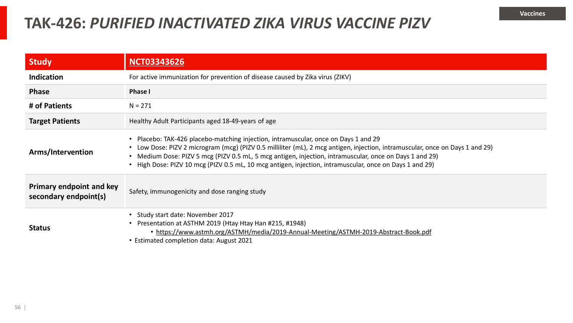#### **TAK-426:** *PURIFIED INACTIVATED ZIKA VIRUS VACCINE PIZV*

| <b>Study</b>                                             | <b>NCT03343626</b>                                                                                                                                                                                                                                                                                                                                                                                                                         |  |
|----------------------------------------------------------|--------------------------------------------------------------------------------------------------------------------------------------------------------------------------------------------------------------------------------------------------------------------------------------------------------------------------------------------------------------------------------------------------------------------------------------------|--|
| <b>Indication</b>                                        | For active immunization for prevention of disease caused by Zika virus (ZIKV)                                                                                                                                                                                                                                                                                                                                                              |  |
| <b>Phase</b>                                             | <b>Phase I</b>                                                                                                                                                                                                                                                                                                                                                                                                                             |  |
| # of Patients                                            | $N = 271$                                                                                                                                                                                                                                                                                                                                                                                                                                  |  |
| <b>Target Patients</b>                                   | Healthy Adult Participants aged 18-49-years of age                                                                                                                                                                                                                                                                                                                                                                                         |  |
| Arms/Intervention                                        | • Placebo: TAK-426 placebo-matching injection, intramuscular, once on Days 1 and 29<br>• Low Dose: PIZV 2 microgram (mcg) (PIZV 0.5 milliliter (mL), 2 mcg antigen, injection, intramuscular, once on Days 1 and 29)<br>• Medium Dose: PIZV 5 mcg (PIZV 0.5 mL, 5 mcg antigen, injection, intramuscular, once on Days 1 and 29)<br>• High Dose: PIZV 10 mcg (PIZV 0.5 mL, 10 mcg antigen, injection, intramuscular, once on Days 1 and 29) |  |
| <b>Primary endpoint and key</b><br>secondary endpoint(s) | Safety, immunogenicity and dose ranging study                                                                                                                                                                                                                                                                                                                                                                                              |  |
| <b>Status</b>                                            | • Study start date: November 2017<br>• Presentation at ASTHM 2019 (Htay Htay Han #215, #1948)<br>• https://www.astmh.org/ASTMH/media/2019-Annual-Meeting/ASTMH-2019-Abstract-Book.pdf<br>• Estimated completion data: August 2021                                                                                                                                                                                                          |  |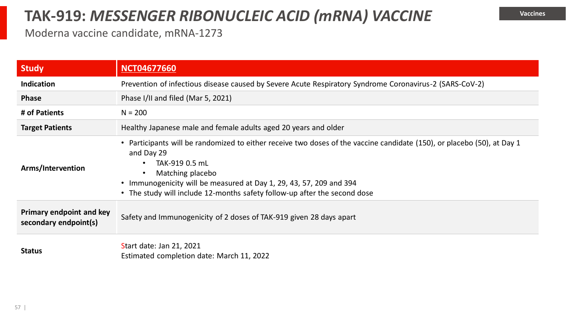#### **TAK-919:** *MESSENGER RIBONUCLEIC ACID (mRNA) VACCINE*

#### Moderna vaccine candidate, mRNA-1273

| <b>Study</b>                                             | <b>NCT04677660</b>                                                                                                                                                                                                                                                                                                              |  |
|----------------------------------------------------------|---------------------------------------------------------------------------------------------------------------------------------------------------------------------------------------------------------------------------------------------------------------------------------------------------------------------------------|--|
| <b>Indication</b>                                        | Prevention of infectious disease caused by Severe Acute Respiratory Syndrome Coronavirus-2 (SARS-CoV-2)                                                                                                                                                                                                                         |  |
| <b>Phase</b>                                             | Phase I/II and filed (Mar 5, 2021)                                                                                                                                                                                                                                                                                              |  |
| # of Patients                                            | $N = 200$                                                                                                                                                                                                                                                                                                                       |  |
| <b>Target Patients</b>                                   | Healthy Japanese male and female adults aged 20 years and older                                                                                                                                                                                                                                                                 |  |
| Arms/Intervention                                        | • Participants will be randomized to either receive two doses of the vaccine candidate (150), or placebo (50), at Day 1<br>and Day 29<br>TAK-919 0.5 mL<br>Matching placebo<br>• Immunogenicity will be measured at Day 1, 29, 43, 57, 209 and 394<br>• The study will include 12-months safety follow-up after the second dose |  |
| <b>Primary endpoint and key</b><br>secondary endpoint(s) | Safety and Immunogenicity of 2 doses of TAK-919 given 28 days apart                                                                                                                                                                                                                                                             |  |
| <b>Status</b>                                            | Start date: Jan 21, 2021<br>Estimated completion date: March 11, 2022                                                                                                                                                                                                                                                           |  |